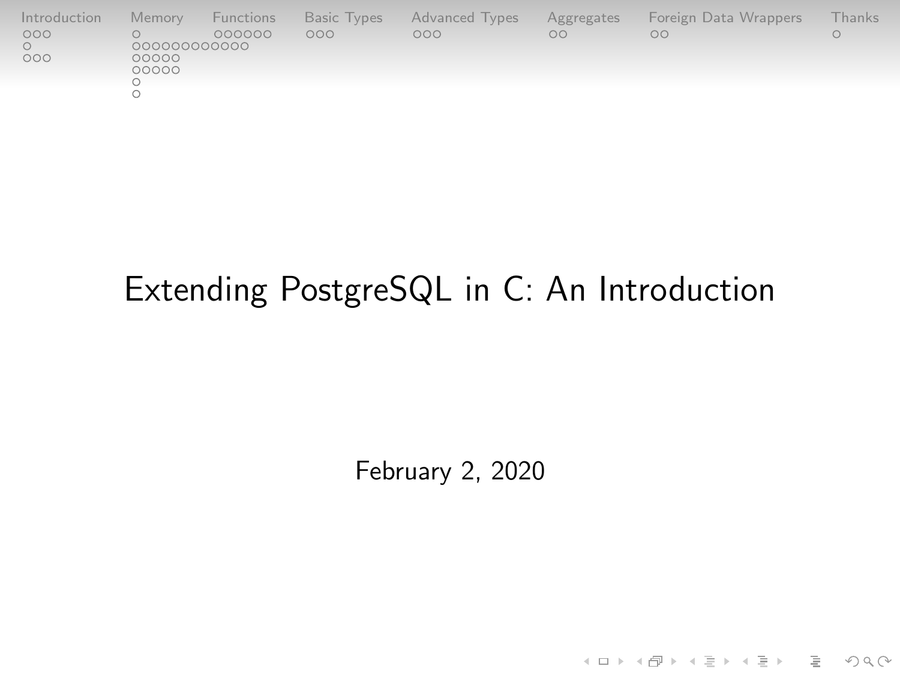| Introduction | Memory         | Functions | Basic Types | Advanced Types | Aggregates | Foreign Data Wrappers | Thanks |
|--------------|----------------|-----------|-------------|----------------|------------|-----------------------|--------|
| 000          | 000000000000   | 000000    | 000         | 000            | nn         | OΟ                    |        |
| 000          | 00000<br>00000 |           |             |                |            |                       |        |
|              |                |           |             |                |            |                       |        |

# Extending PostgreSQL in C: An Introduction

February 2, 2020

K ロ ▶ K (日 ) K (ミ ) K (王 ) X (三 ) 2 (0 ) Q (0 )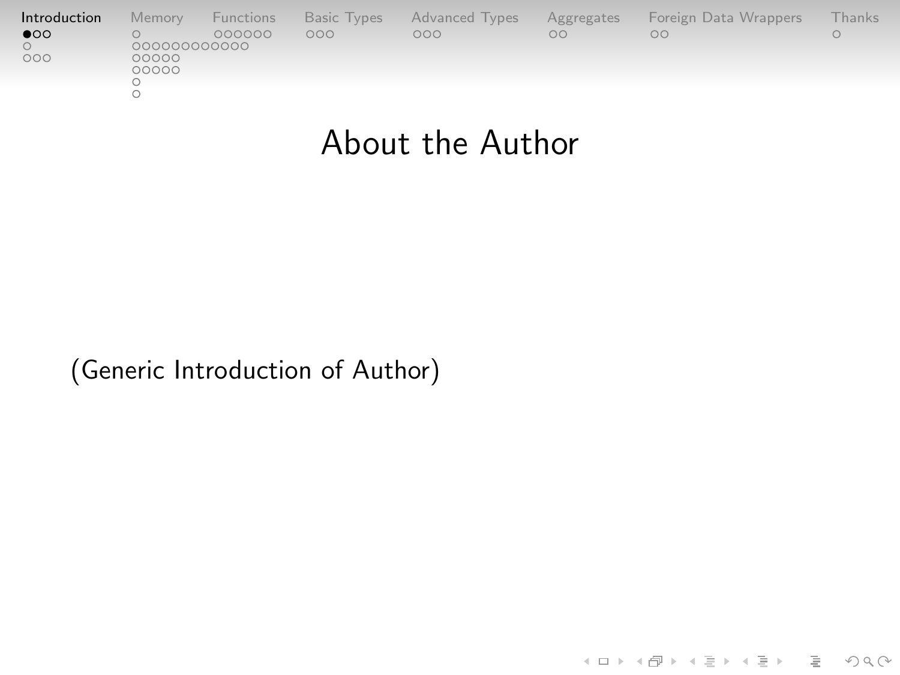<span id="page-1-0"></span>

| Introduction | Memory       | Functions | <b>Basic Types</b> | Advanced Types | Aggregates | Foreign Data Wrappers | Thanks |
|--------------|--------------|-----------|--------------------|----------------|------------|-----------------------|--------|
| $\bullet$    | 000000000000 | 000000    | 000                | 000            | $\circ$    | nn                    |        |
| 000          | 00000        |           |                    |                |            |                       |        |
|              | 00000        |           |                    |                |            |                       |        |
|              |              |           |                    |                |            |                       |        |

### About the Author

(Generic Introduction of Author)

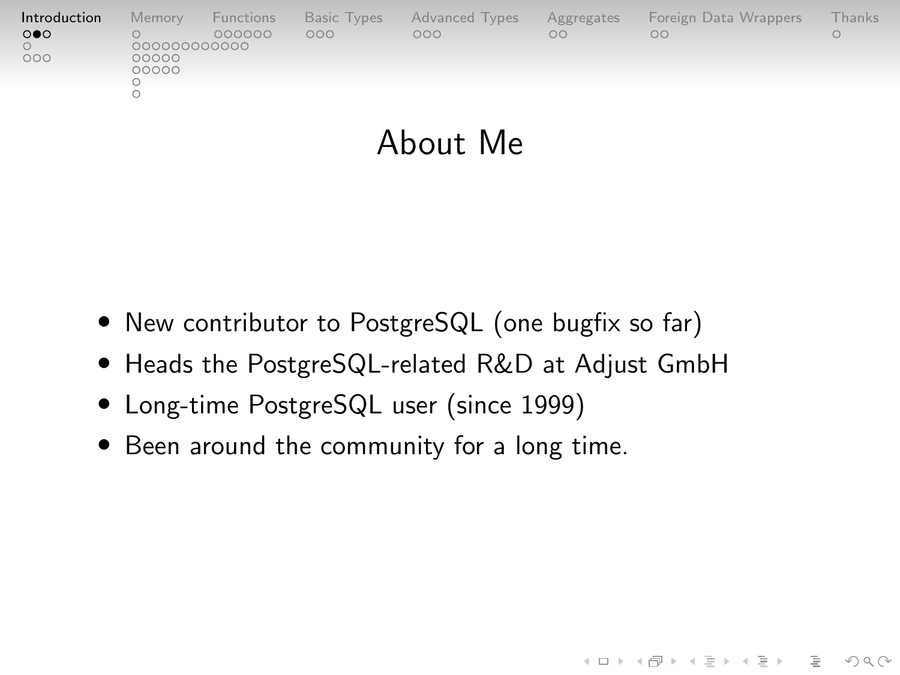| Introduction                 | Memory                         | Functions | <b>Basic Types</b> | Advanced Types | Aggregates | Foreign Data Wrappers | Thanks |
|------------------------------|--------------------------------|-----------|--------------------|----------------|------------|-----------------------|--------|
| $\circ \bullet \circ$<br>000 | 000000000000<br>00000<br>00000 | 000000    | 000                | 000            | $\circ$    | $\circ$               |        |

#### About Me

- New contributor to PostgreSQL (one bugfix so far)
- Heads the PostgreSQL-related R&D at Adjust GmbH

- Long-time PostgreSQL user (since 1999)
- Been around the community for a long time.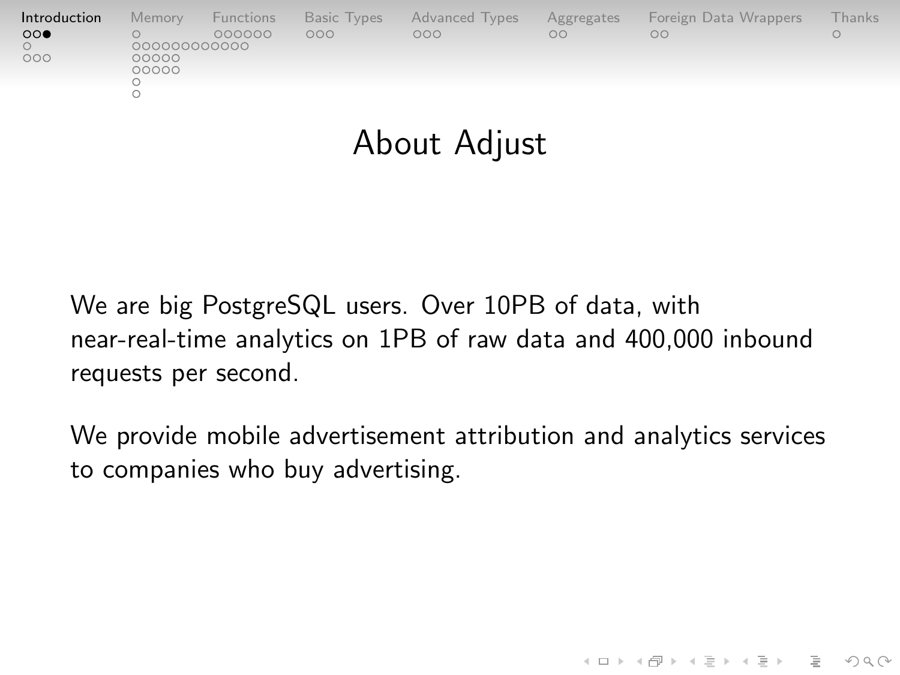| Introduction        | Memory                | Functions | Basic Types | <b>Advanced Types</b> | Aggregates | Foreign Data Wrappers | hanks |
|---------------------|-----------------------|-----------|-------------|-----------------------|------------|-----------------------|-------|
| $\circ\circ\bullet$ |                       | 000000    | 000         | 000                   | $\circ$    | OΩ                    |       |
| 000                 | 000000000000<br>00000 |           |             |                       |            |                       |       |
|                     | 00000                 |           |             |                       |            |                       |       |
|                     |                       |           |             |                       |            |                       |       |
|                     |                       |           |             |                       |            |                       |       |
|                     |                       |           |             |                       |            |                       |       |

### About Adjust

We are big PostgreSQL users. Over 10PB of data, with near-real-time analytics on 1PB of raw data and 400,000 inbound requests per second.

We provide mobile advertisement attribution and analytics services to companies who buy advertising.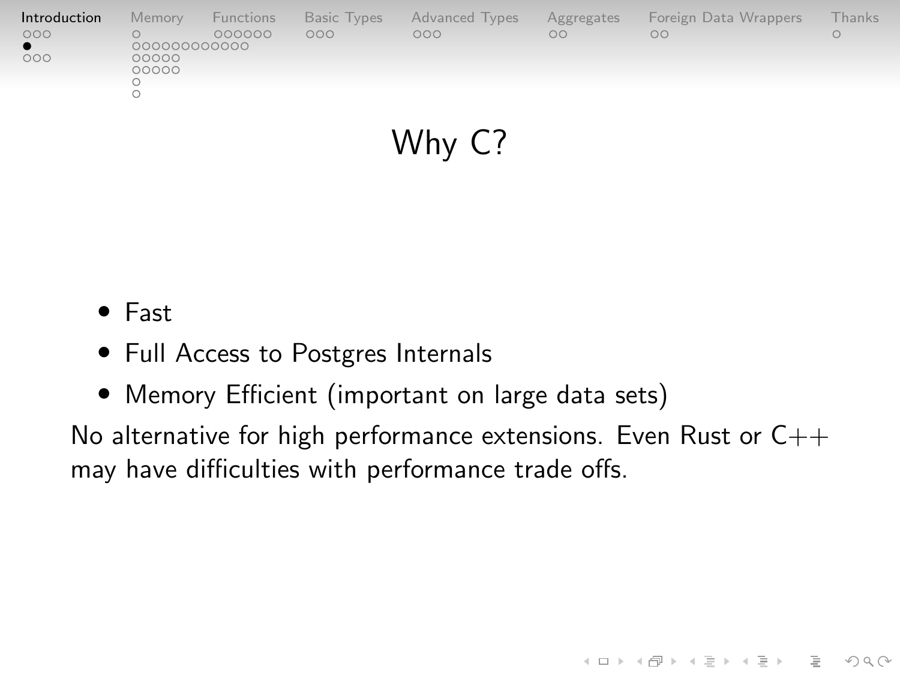| Introduction | Memory         | Functions | Basic Types | <b>Advanced Types</b> | Aggregates | Foreign Data Wrappers | Thanks |
|--------------|----------------|-----------|-------------|-----------------------|------------|-----------------------|--------|
| 000          | 00000000000    | 000000    | 000         | 000                   | $\circ$    | $\circ$               |        |
| 000          | 00000<br>00000 |           |             |                       |            |                       |        |

Why C?

- Fast
- Full Access to Postgres Internals
- Memory Efficient (important on large data sets)

No alternative for high performance extensions. Even Rust or  $C_{++}$ may have difficulties with performance trade offs.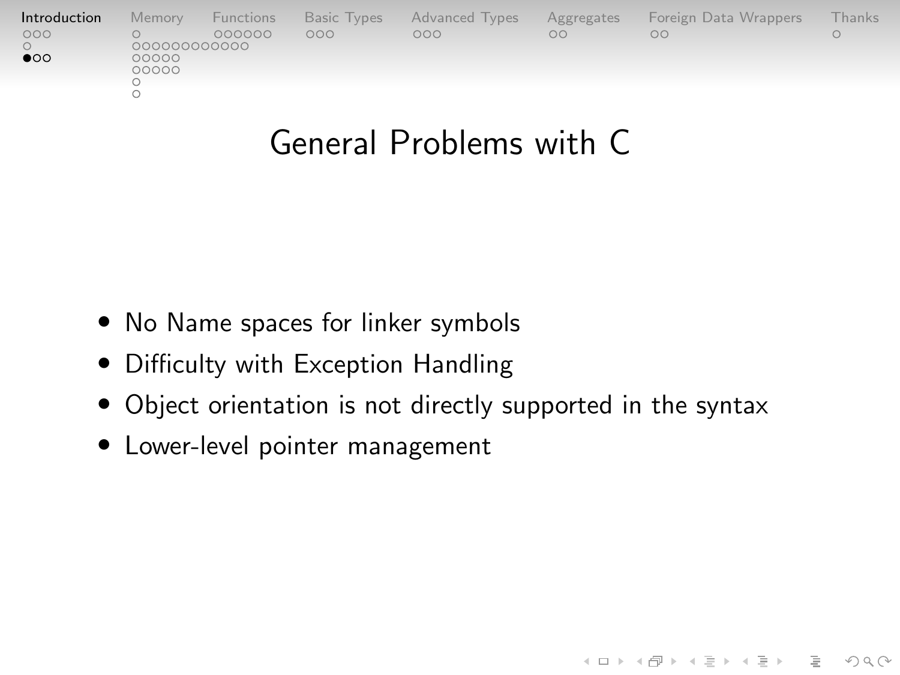| Introduction | Memory         | Functions | <b>Basic Types</b> | Advanced Types | Aggregates | Foreign Data Wrappers | Thanks. |
|--------------|----------------|-----------|--------------------|----------------|------------|-----------------------|---------|
| 000          | 000000000000   | 000000    | 000                | 000            | $\circ$    | OΩ                    |         |
| $\bullet$    | 00000<br>00000 |           |                    |                |            |                       |         |
|              |                |           |                    |                |            |                       |         |
|              |                |           |                    |                |            |                       |         |

### General Problems with C

- No Name spaces for linker symbols
- Difficulty with Exception Handling
- Object orientation is not directly supported in the syntax

イロト イタト イミト イミト ニヨー りんぺ

• Lower-level pointer management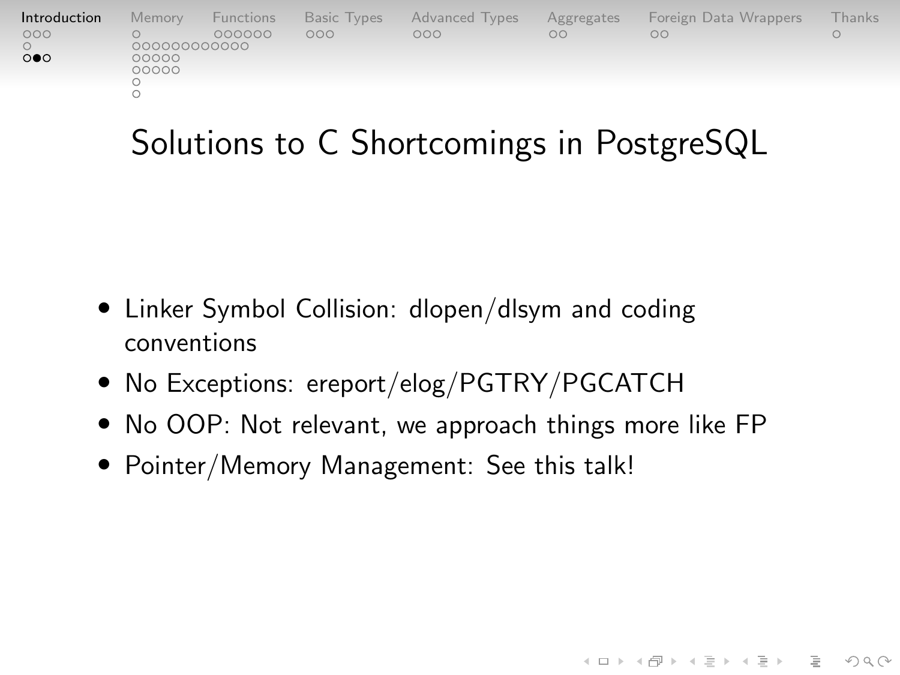| Introduction               | Memory                | Functions | <b>Basic Types</b> | Advanced Types | Aggregates | Foreign Data Wrappers | <b>Thanks</b> |
|----------------------------|-----------------------|-----------|--------------------|----------------|------------|-----------------------|---------------|
| 000<br>$\circ\bullet\circ$ | 000000000000<br>00000 | 000000    | 000                | nnn            | $\circ$    | OΟ                    |               |
|                            | 00000                 |           |                    |                |            |                       |               |
|                            |                       |           |                    |                |            |                       |               |

# Solutions to C Shortcomings in PostgreSQL

- Linker Symbol Collision: dlopen/dlsym and coding conventions
- No Exceptions: ereport/elog/PGTRY/PGCATCH
- No OOP: Not relevant, we approach things more like FP

KELK@ K EXKEX E 1090

• Pointer/Memory Management: See this talk!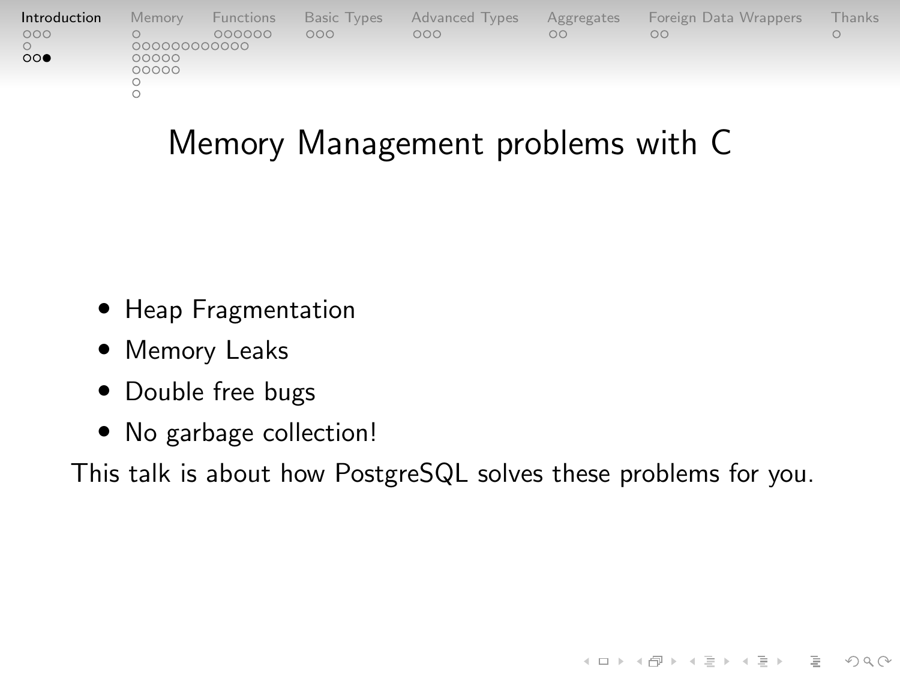|        |                           |     |         | Foreign Data Wrappers                    | <b>Thanks</b> |
|--------|---------------------------|-----|---------|------------------------------------------|---------------|
| 000000 | 000                       | 000 | $\circ$ | OO                                       |               |
|        | Functions<br>000000000000 |     |         | Basic Types Advanced Types<br>Aggregates |               |

## Memory Management problems with C

- Heap Fragmentation
- Memory Leaks
- Double free bugs
- No garbage collection!

This talk is about how PostgreSQL solves these problems for you.

 $4 \Box + 4 \Box + 4 \Xi + 4 \Xi + 4 \Xi + 4 \Box$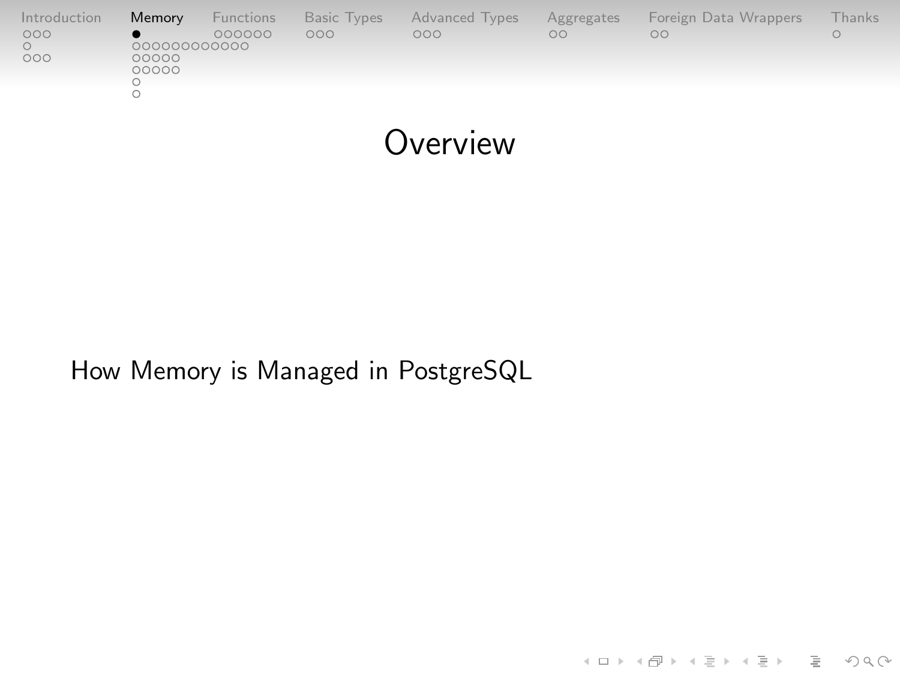<span id="page-8-0"></span>

| Introduction | Memory      | Functions | Basic Types | Advanced Types | Aggregates | Foreign Data Wrappers | Thanks |
|--------------|-------------|-----------|-------------|----------------|------------|-----------------------|--------|
| 000          | 00000000000 | 000000    | 000         | 000            | $\circ$    | $\circ$               |        |
| 000          | 00000       |           |             |                |            |                       |        |
|              | 00000       |           |             |                |            |                       |        |
|              |             |           |             |                |            |                       |        |
|              |             |           |             |                |            |                       |        |

**Overview** 

K ロ ▶ K (日 ) K (ミ ) K (王 ) X (三 ) 2 (0 ) Q (0 )

How Memory is Managed in PostgreSQL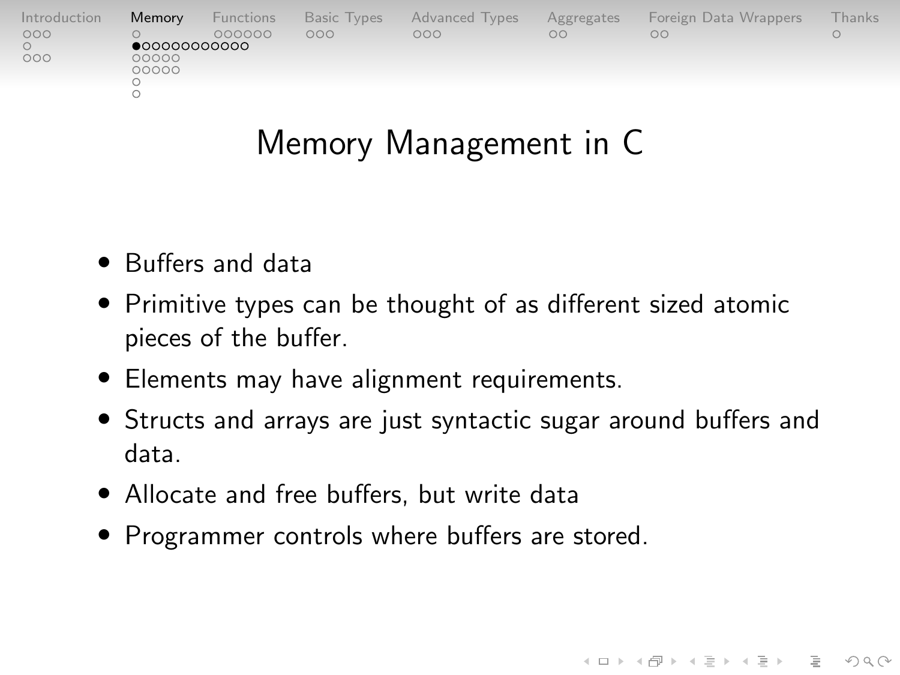| Introduction | Memory                | <b>Functions</b> | Basic Types | <b>Advanced Types</b> | Aggregates | Foreign Data Wrappers | Thanks' |
|--------------|-----------------------|------------------|-------------|-----------------------|------------|-----------------------|---------|
| 000          | $\bullet$ 00000000000 | 000000           | ooo         | nnn                   | OΩ         | nn                    |         |
| 000          | 00000<br>00000        |                  |             |                       |            |                       |         |
|              |                       |                  |             |                       |            |                       |         |

## Memory Management in C

- Buffers and data
- Primitive types can be thought of as different sized atomic pieces of the buffer.
- Elements may have alignment requirements.
- Structs and arrays are just syntactic sugar around buffers and data.

- Allocate and free buffers, but write data
- Programmer controls where buffers are stored.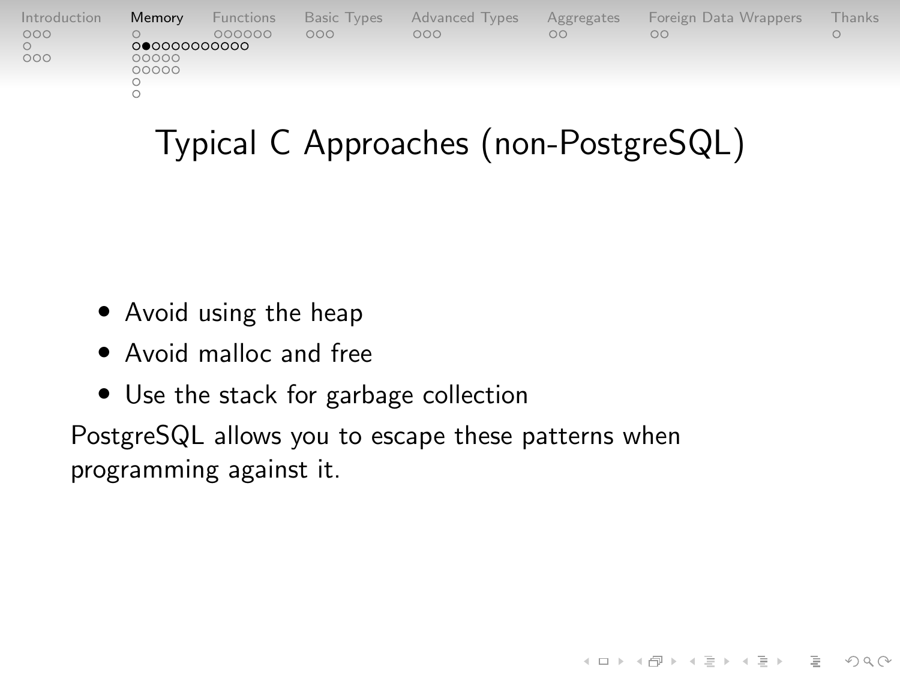| Introduction | Memory         | Functions | Basic Types | <b>Advanced Types</b> | Aggregates | Foreign Data Wrappers | Thanks' |
|--------------|----------------|-----------|-------------|-----------------------|------------|-----------------------|---------|
| 000          | 00000000000    | 000000    | 000         | OOO                   | OΩ         | OΟ                    |         |
| 000          | 00000<br>00000 |           |             |                       |            |                       |         |
|              |                |           |             |                       |            |                       |         |

# Typical C Approaches (non-PostgreSQL)

 $4 \Box + 4 \Box + 4 \Xi + 4 \Xi + 4 \Xi + 4 \Box$ 

- Avoid using the heap
- Avoid malloc and free
- Use the stack for garbage collection

PostgreSQL allows you to escape these patterns when programming against it.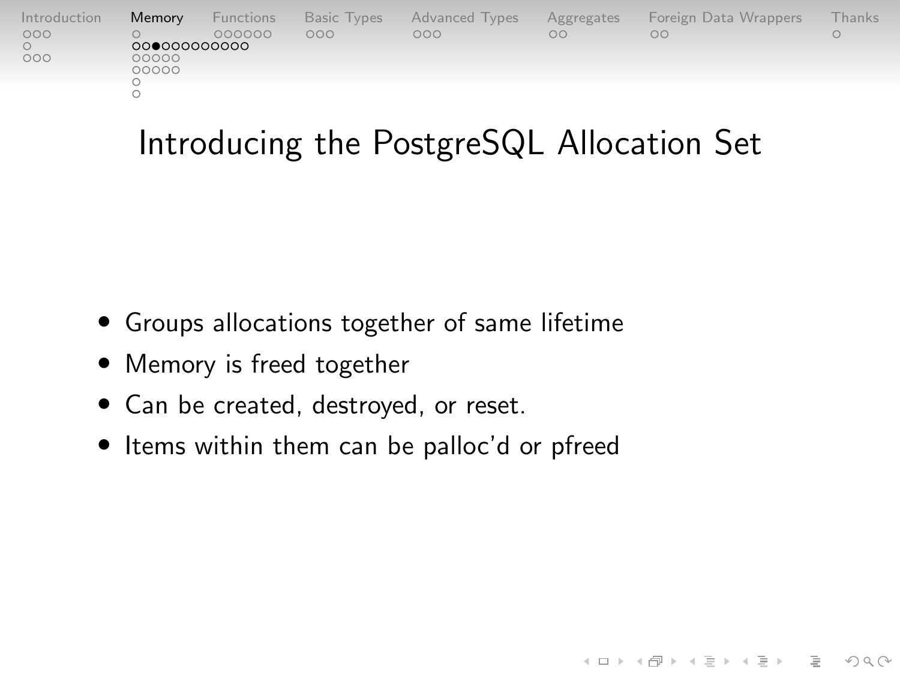| Introduction | Memory      | Functions | <b>Basic Types</b> | Advanced Types | Aggregates | Foreign Data Wrappers | -hanks |
|--------------|-------------|-----------|--------------------|----------------|------------|-----------------------|--------|
| 000          |             | 000000    | 000                | 000            | $\circ$    | ΟŌ                    |        |
|              | 00000000000 |           |                    |                |            |                       |        |
| 000          | 00000       |           |                    |                |            |                       |        |
|              | 00000       |           |                    |                |            |                       |        |
|              |             |           |                    |                |            |                       |        |
|              |             |           |                    |                |            |                       |        |
|              |             |           |                    |                |            |                       |        |

# Introducing the PostgreSQL Allocation Set

 $4 \Box + 4 \Box + 4 \Xi + 4 \Xi + 4 \Xi + 4 \Box$ 

- Groups allocations together of same lifetime
- Memory is freed together
- Can be created, destroyed, or reset.
- Items within them can be palloc'd or pfreed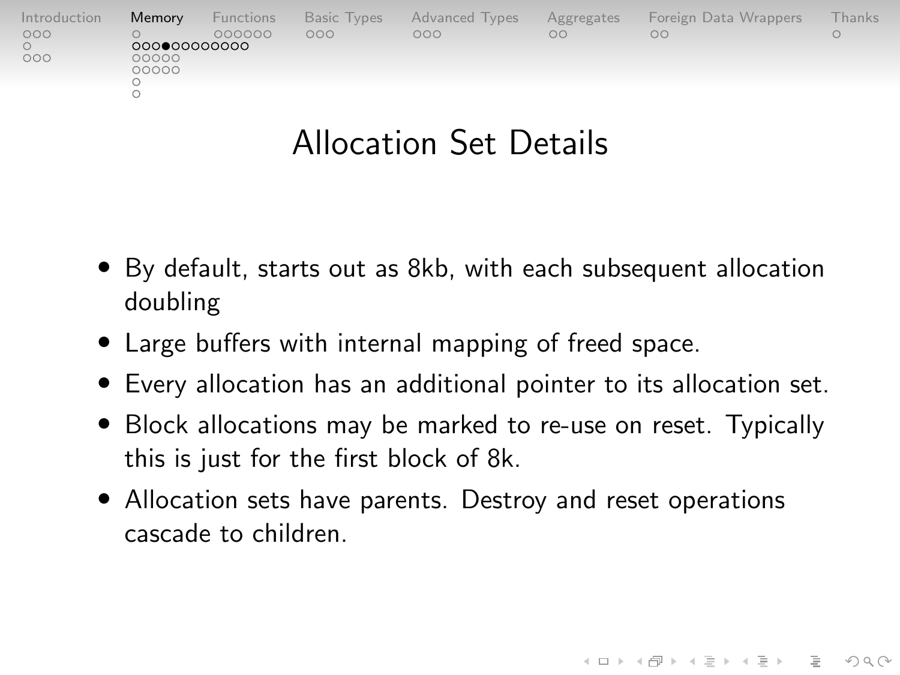| Introduction | Memory         | Functions | Basic Types | <b>Advanced Types</b> | Aggregates | Foreign Data Wrappers | <b>Thanks</b> |
|--------------|----------------|-----------|-------------|-----------------------|------------|-----------------------|---------------|
| 000          | 00000000000    | 000000    | 000         | 000                   | $\circ$    | OO                    |               |
| 000          | 00000<br>00000 |           |             |                       |            |                       |               |
|              |                |           |             |                       |            |                       |               |

## Allocation Set Details

- By default, starts out as 8kb, with each subsequent allocation doubling
- Large buffers with internal mapping of freed space.
- Every allocation has an additional pointer to its allocation set.
- Block allocations may be marked to re-use on reset. Typically this is just for the first block of 8k.

 $4 \Box + 4 \Box + 4 \Xi + 4 \Xi + 4 \Xi + 4 \Box$ 

• Allocation sets have parents. Destroy and reset operations cascade to children.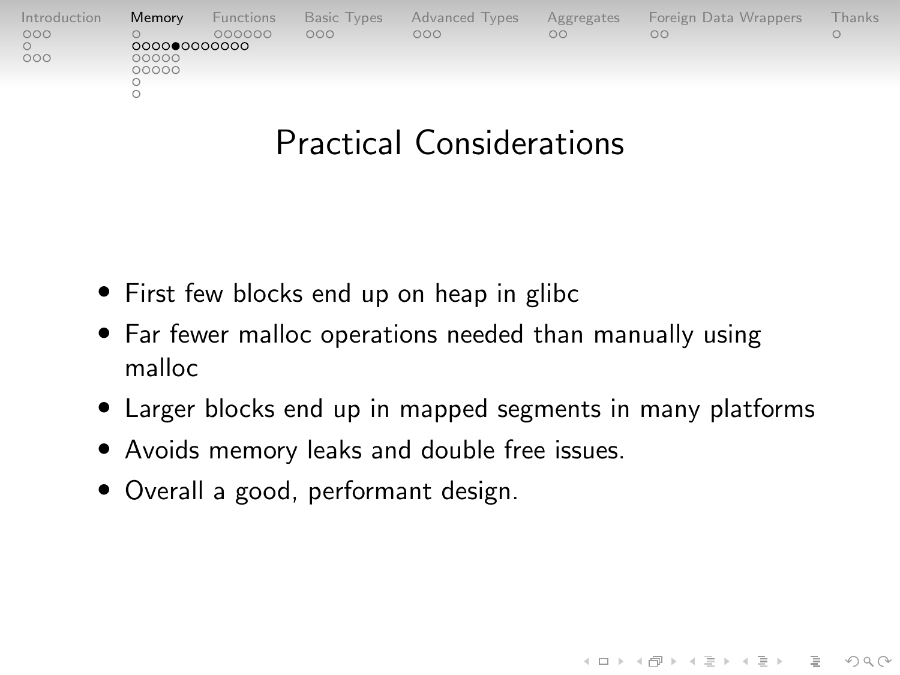| Introduction | Memory      | Functions | Basic Types | Advanced Types | Aggregates | Foreign Data Wrappers | Thanks |
|--------------|-------------|-----------|-------------|----------------|------------|-----------------------|--------|
| 000          |             | 000000    | 000         | OOO            | $\circ$    | OO                    |        |
|              | 00000000000 |           |             |                |            |                       |        |
| 000          | 00000       |           |             |                |            |                       |        |
|              | 00000       |           |             |                |            |                       |        |
|              |             |           |             |                |            |                       |        |
|              |             |           |             |                |            |                       |        |
|              |             |           |             |                |            |                       |        |

### Practical Considerations

- First few blocks end up on heap in glibc
- Far fewer malloc operations needed than manually using malloc
- Larger blocks end up in mapped segments in many platforms

 $4 \Box + 4 \Box + 4 \Xi + 4 \Xi + 4 \Xi + 4 \Box$ 

- Avoids memory leaks and double free issues.
- Overall a good, performant design.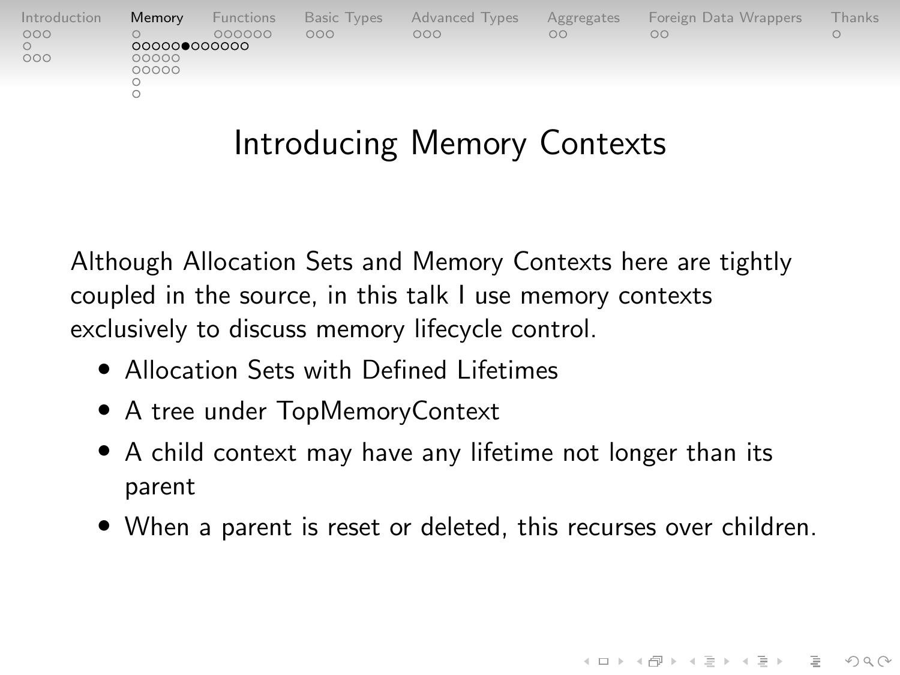| Introduction | Memory         | Functions | Basic Types | <b>Advanced Types</b> | Aggregates | Foreign Data Wrappers | -hanks |
|--------------|----------------|-----------|-------------|-----------------------|------------|-----------------------|--------|
| 000          | 000000000000   | 000000    | 000         | nnn                   | OO         | OO                    |        |
| 000          | 00000<br>00000 |           |             |                       |            |                       |        |
|              |                |           |             |                       |            |                       |        |

# Introducing Memory Contexts

Although Allocation Sets and Memory Contexts here are tightly coupled in the source, in this talk I use memory contexts exclusively to discuss memory lifecycle control.

- Allocation Sets with Defined Lifetimes
- A tree under TopMemoryContext
- A child context may have any lifetime not longer than its parent
- When a parent is reset or deleted, this recurses over children.

 $4 \Box + 4 \Box + 4 \Xi + 4 \Xi + 4 \Xi$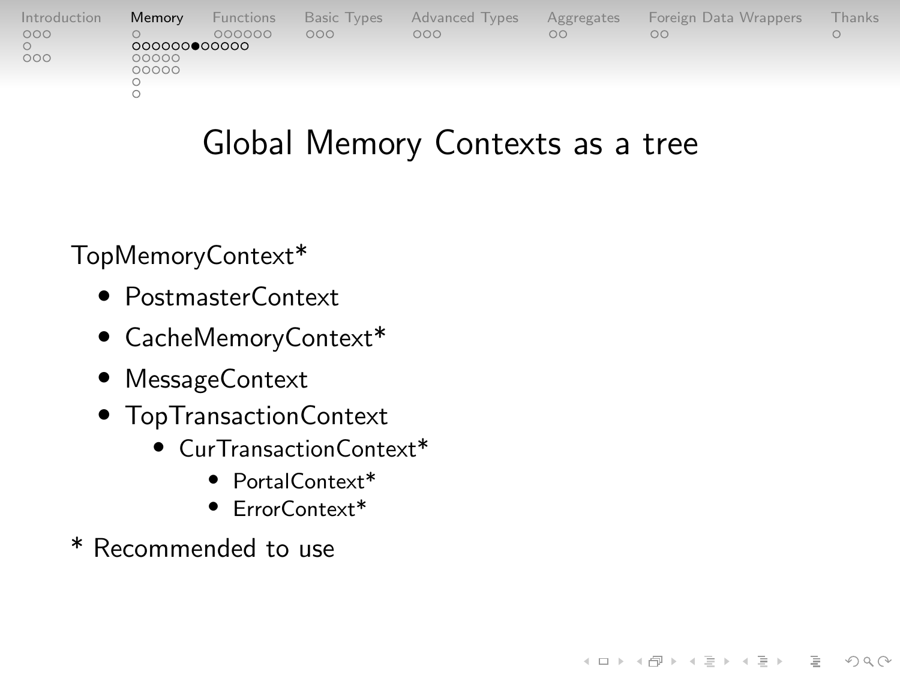| Introduction | Memory       | Functions | <b>Basic Types</b> | <b>Advanced Types</b> | Aggregates | Foreign Data Wrappers | Thanks |
|--------------|--------------|-----------|--------------------|-----------------------|------------|-----------------------|--------|
| 000          | 000000000000 | 000000    | OOO                | OOO                   | $\circ$    | OΩ                    |        |
| 000          | 00000        |           |                    |                       |            |                       |        |
|              | 00000        |           |                    |                       |            |                       |        |
|              |              |           |                    |                       |            |                       |        |

# Global Memory Contexts as a tree

 $4 \Box + 4 \Box + 4 \Xi + 4 \Xi + 4 \Xi + 4 \Box$ 

TopMemoryContext\*

- PostmasterContext
- CacheMemoryContext\*
- MessageContext
- TopTransactionContext
	- CurTransactionContext\*
		- PortalContext\*
		- ErrorContext\*
- \* Recommended to use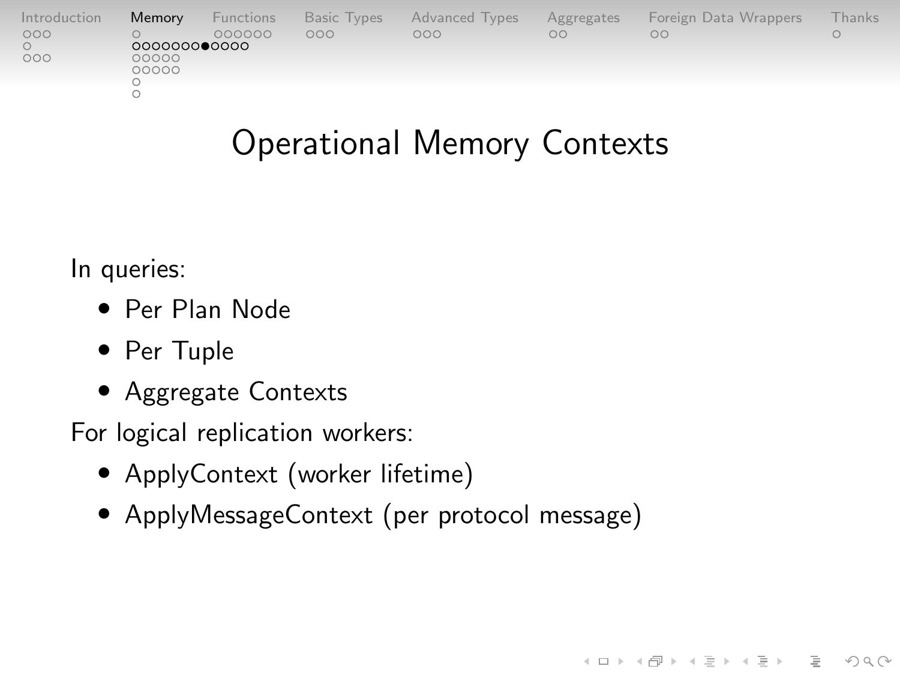| Introduction | Memory                | Functions | Basic Types | <b>Advanced Types</b> | Aggregates | Foreign Data Wrappers | Thanks' |
|--------------|-----------------------|-----------|-------------|-----------------------|------------|-----------------------|---------|
| 000<br>000   | 000000000000<br>00000 | 000000    | ooo         | 000                   | OO         | OO                    |         |
|              | 00000                 |           |             |                       |            |                       |         |

# Operational Memory Contexts

 $4 \Box + 4 \Box + 4 \Xi + 4 \Xi + 4 \Xi + 4 \Box$ 

In queries:

- Per Plan Node
- Per Tuple
- Aggregate Contexts

For logical replication workers:

- ApplyContext (worker lifetime)
- ApplyMessageContext (per protocol message)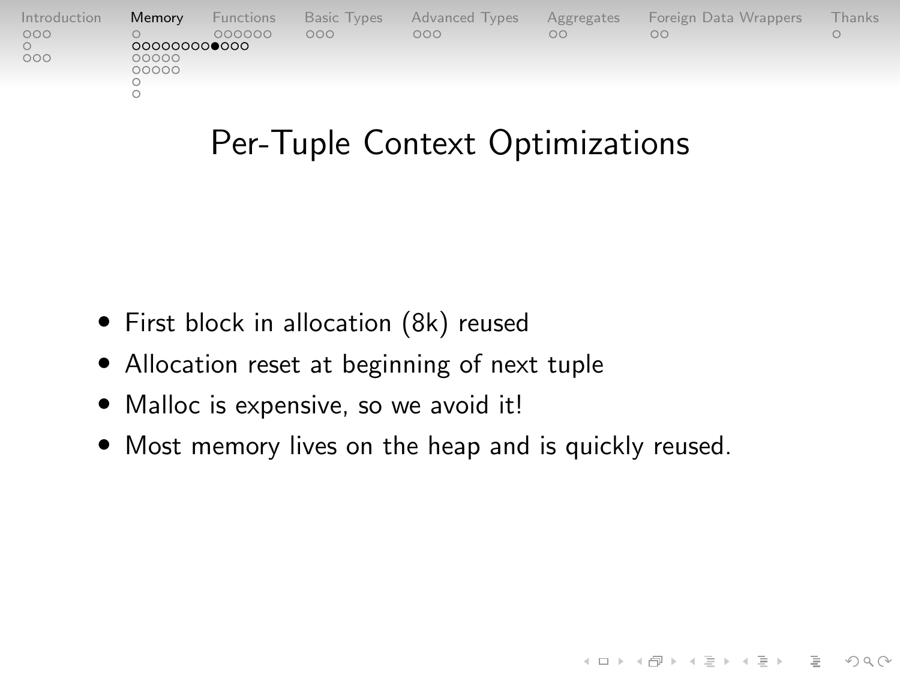| Introduction | Memory       | Functions | Basic Types | <b>Advanced Types</b> | Aggregates | Foreign Data Wrappers | Thanks |
|--------------|--------------|-----------|-------------|-----------------------|------------|-----------------------|--------|
| 000          |              | 000000    | 000         | OOO                   | OΩ         | ΟŌ                    |        |
|              | 000000000000 |           |             |                       |            |                       |        |
| 000          | 00000        |           |             |                       |            |                       |        |
|              | 00000        |           |             |                       |            |                       |        |
|              |              |           |             |                       |            |                       |        |
|              |              |           |             |                       |            |                       |        |
|              |              |           |             |                       |            |                       |        |

### Per-Tuple Context Optimizations

- First block in allocation (8k) reused
- Allocation reset at beginning of next tuple
- Malloc is expensive, so we avoid it!
- Most memory lives on the heap and is quickly reused.

KELK@ K EXKEX E 1090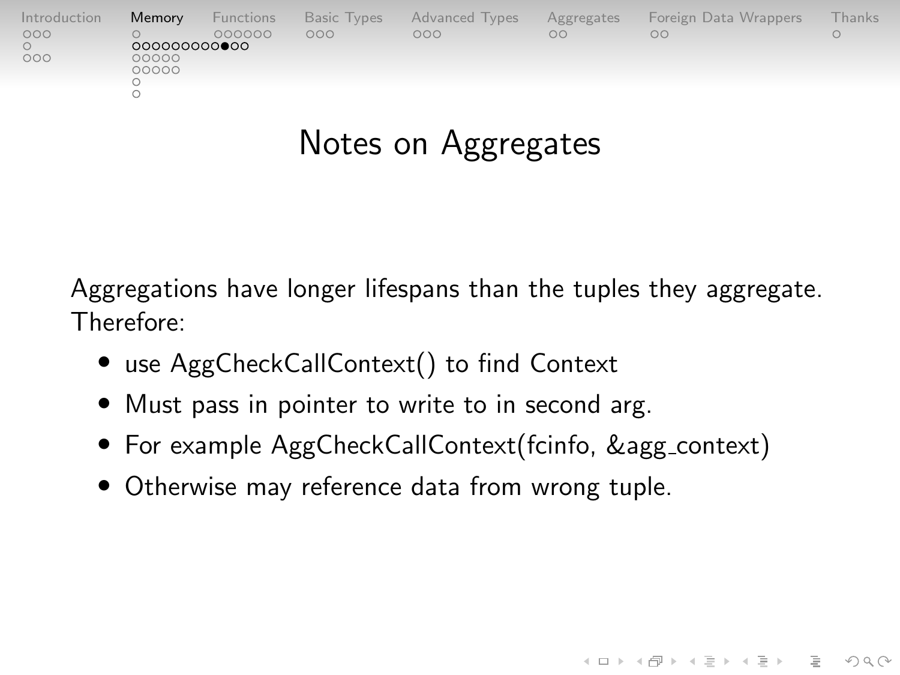| Introduction | Memory                | Functions | Basic Types | <b>Advanced Types</b> | Aggregates | Foreign Data Wrappers | -hanks |
|--------------|-----------------------|-----------|-------------|-----------------------|------------|-----------------------|--------|
| 000          |                       | 000000    | 000         | OOO                   | $\circ$    | OC                    |        |
| 000          | 000000000000<br>00000 |           |             |                       |            |                       |        |
|              | 00000                 |           |             |                       |            |                       |        |
|              |                       |           |             |                       |            |                       |        |
|              |                       |           |             |                       |            |                       |        |

# Notes on Aggregates

Aggregations have longer lifespans than the tuples they aggregate. Therefore:

- use AggCheckCallContext() to find Context
- Must pass in pointer to write to in second arg.
- For example AggCheckCallContext(fcinfo, &agg\_context)

 $4 \Box + 4 \Box + 4 \Xi + 4 \Xi + 4 \Xi + 4 \Box$ 

• Otherwise may reference data from wrong tuple.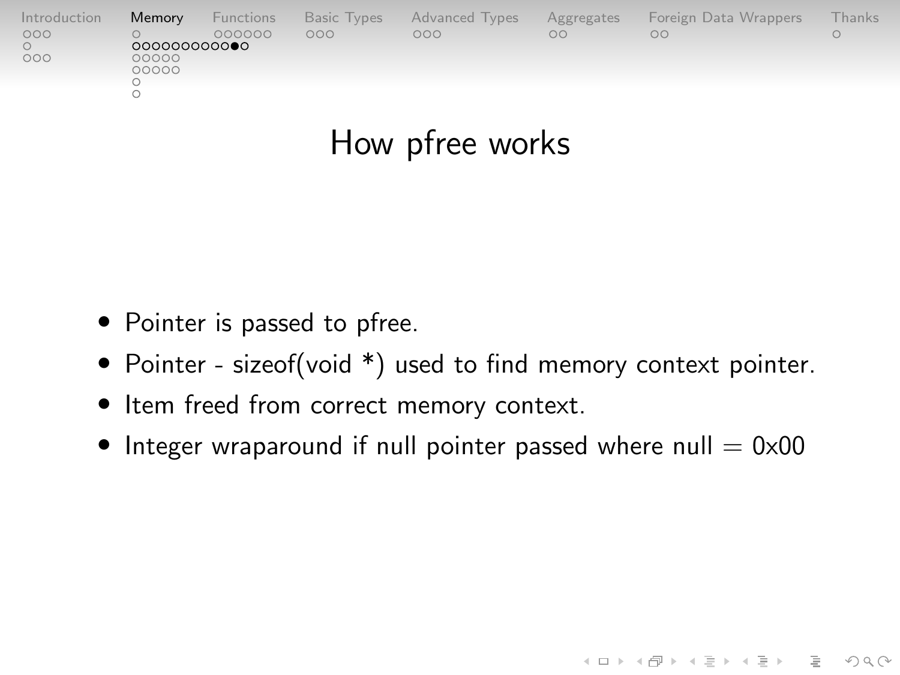| Introduction | Memory       | Functions | Basic Types | Advanced Types | Aggregates | Foreign Data Wrappers | -hanks |
|--------------|--------------|-----------|-------------|----------------|------------|-----------------------|--------|
| 000          |              | 000000    | 000         | 000            | $\circ$    | OΩ                    |        |
|              | 000000000000 |           |             |                |            |                       |        |
| 000          | 00000        |           |             |                |            |                       |        |
|              | 00000        |           |             |                |            |                       |        |
|              |              |           |             |                |            |                       |        |
|              |              |           |             |                |            |                       |        |
|              |              |           |             |                |            |                       |        |
|              |              |           |             |                |            |                       |        |

### How pfree works

- Pointer is passed to pfree.
- Pointer sizeof(void \*) used to find memory context pointer.
- Item freed from correct memory context.
- Integer wraparound if null pointer passed where null  $= 0 \times 00$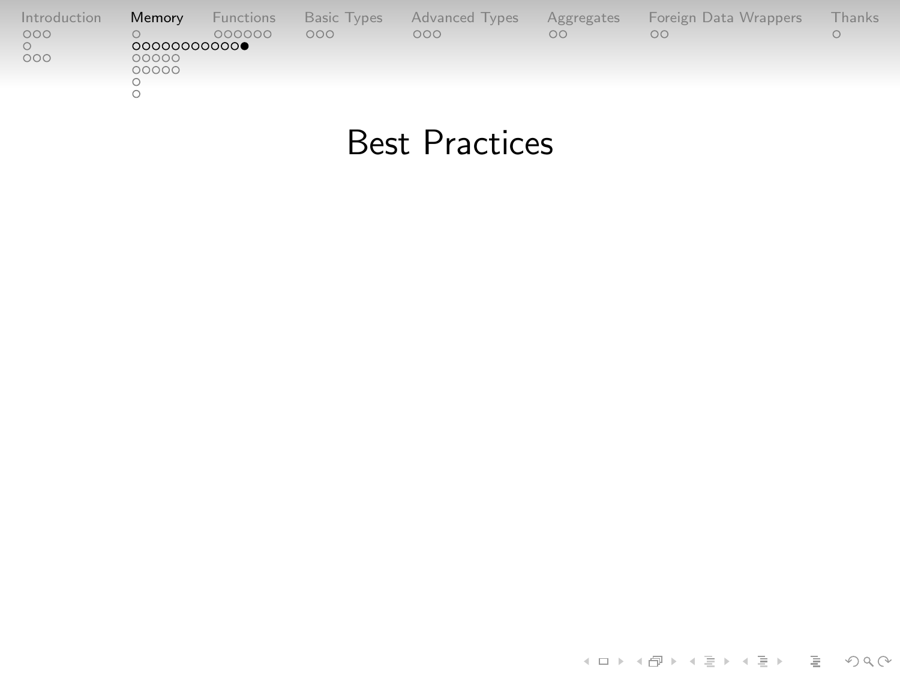| Introduction | Memory      | <b>Functions</b> | Basic Types | <b>Advanced Types</b> | Aggregates | Foreign Data Wrappers | hanks |
|--------------|-------------|------------------|-------------|-----------------------|------------|-----------------------|-------|
| 000          |             | 000000           | 000         | OOO                   | $\circ$    | OO                    |       |
|              | 00000000000 |                  |             |                       |            |                       |       |
| 000          | 00000       |                  |             |                       |            |                       |       |
|              | 00000       |                  |             |                       |            |                       |       |
|              |             |                  |             |                       |            |                       |       |
|              |             |                  |             |                       |            |                       |       |
|              |             |                  |             |                       |            |                       |       |

### Best Practices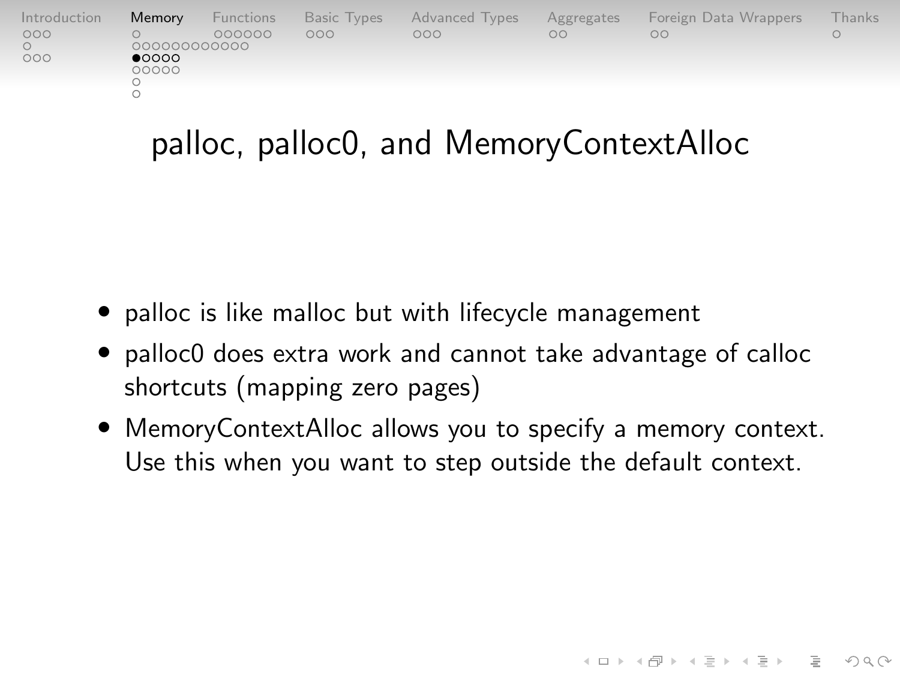| Introduction | Memory                  | Functions |     | Basic Types Advanced Types | Aggregates | Foreign Data Wrappers | Thanks ' |
|--------------|-------------------------|-----------|-----|----------------------------|------------|-----------------------|----------|
| 000          | 000000000000            | 000000    | 000 | 000                        | OO         | nn                    |          |
| 000          | $\bullet$ 0000<br>00000 |           |     |                            |            |                       |          |
|              |                         |           |     |                            |            |                       |          |
|              |                         |           |     |                            |            |                       |          |

### palloc, palloc0, and MemoryContextAlloc

- palloc is like malloc but with lifecycle management
- palloc0 does extra work and cannot take advantage of calloc shortcuts (mapping zero pages)
- MemoryContextAlloc allows you to specify a memory context. Use this when you want to step outside the default context.

 $4 \Box + 4 \Box + 4 \Xi + 4 \Xi + 4 \Xi$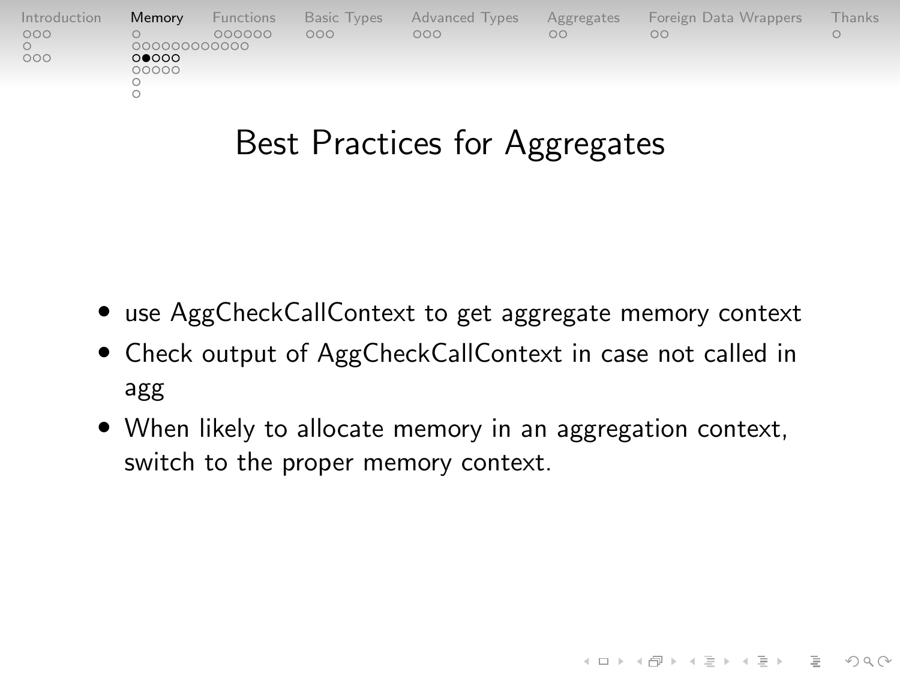| Introduction | Memory         | Functions | <b>Basic Types</b> | Advanced Types | Aggregates | Foreign Data Wrappers | hanks |
|--------------|----------------|-----------|--------------------|----------------|------------|-----------------------|-------|
| 000          | 00000000000    | 000000    | poo                | OOO            | $\circ$    | nn                    |       |
| 000          | 00000<br>00000 |           |                    |                |            |                       |       |

### Best Practices for Aggregates

- use AggCheckCallContext to get aggregate memory context
- Check output of AggCheckCallContext in case not called in agg
- When likely to allocate memory in an aggregation context, switch to the proper memory context.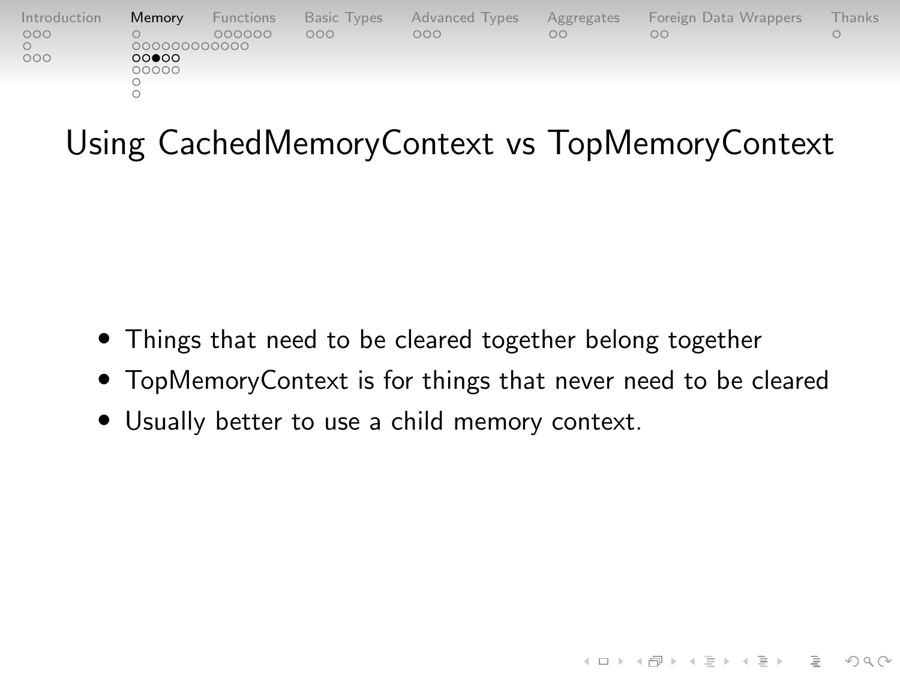| Introduction | Memory         | Functions | Basic Types | <b>Advanced Types</b> | Aggregates | Foreign Data Wrappers | Thanks I |
|--------------|----------------|-----------|-------------|-----------------------|------------|-----------------------|----------|
| 000          | 000000000000   | 000000    | noo         | OOO                   | OC.        | $\circ$               |          |
| 000          | 00000<br>00000 |           |             |                       |            |                       |          |

# Using CachedMemoryContext vs TopMemoryContext

- Things that need to be cleared together belong together
- TopMemoryContext is for things that never need to be cleared

 $4 \Box + 4 \Box + 4 \Xi + 4 \Xi + 4 \Xi + 4 \Box$ 

• Usually better to use a child memory context.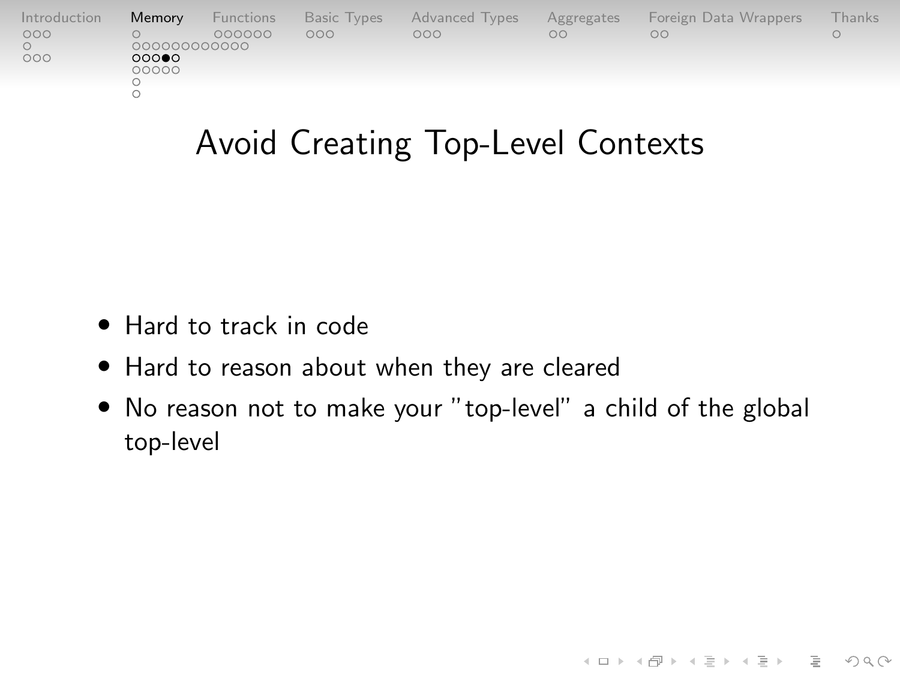| Introduction | <b>Memory</b> | Functions | <b>Basic Types</b> | <b>Advanced Types</b> | Aggregates | Foreign Data Wrappers | hanks |
|--------------|---------------|-----------|--------------------|-----------------------|------------|-----------------------|-------|
| 000          | 000000000000  | 000000    | OOO                | 000                   | $\circ$    | OΩ                    |       |
| 000          | 000<br>00000  |           |                    |                       |            |                       |       |
|              |               |           |                    |                       |            |                       |       |
|              |               |           |                    |                       |            |                       |       |

# Avoid Creating Top-Level Contexts

- Hard to track in code
- Hard to reason about when they are cleared
- No reason not to make your "top-level" a child of the global top-level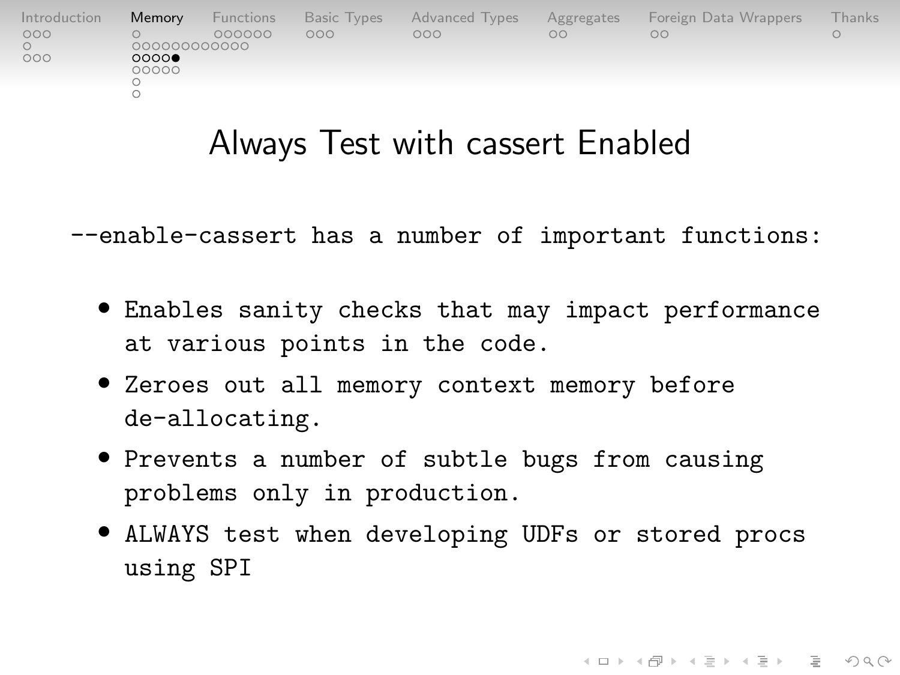| Introduction | Memory        | Functions | <b>Basic Types</b> | Advanced Types | Aggregates | Foreign Data Wrappers | Thanks |
|--------------|---------------|-----------|--------------------|----------------|------------|-----------------------|--------|
| 000          | 000000000000  | 000000    | OOO                | OOO            | nn         | nc                    |        |
| 000          | 0000<br>00000 |           |                    |                |            |                       |        |
|              |               |           |                    |                |            |                       |        |
|              |               |           |                    |                |            |                       |        |

### Always Test with cassert Enabled

--enable-cassert has a number of important functions:

- Enables sanity checks that may impact performance at various points in the code.
- Zeroes out all memory context memory before de-allocating.
- Prevents a number of subtle bugs from causing problems only in production.
- ALWAYS test when developing UDFs or stored procs using SPI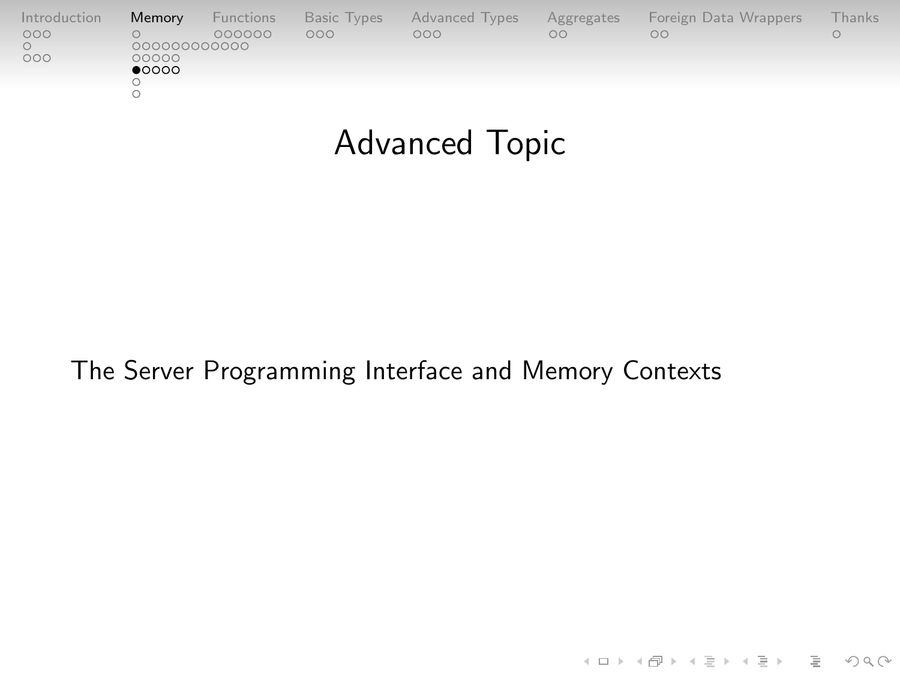| Introduction | Memory                                  | Functions | <b>Basic Types</b> | Advanced Types | Aggregates | Foreign Data Wrappers | <b>Thanks</b> |
|--------------|-----------------------------------------|-----------|--------------------|----------------|------------|-----------------------|---------------|
| 000<br>000   | 000000000000<br>00000<br>$\bullet$ 0000 | 000000    | 000                | 000            | $\circ$    | nn                    |               |
|              |                                         |           |                    |                |            |                       |               |

# Advanced Topic

#### The Server Programming Interface and Memory Contexts

K ロ ▶ K (日 ) K (ミ ) K (王 ) X (三 ) 2 (0 ) Q (0 )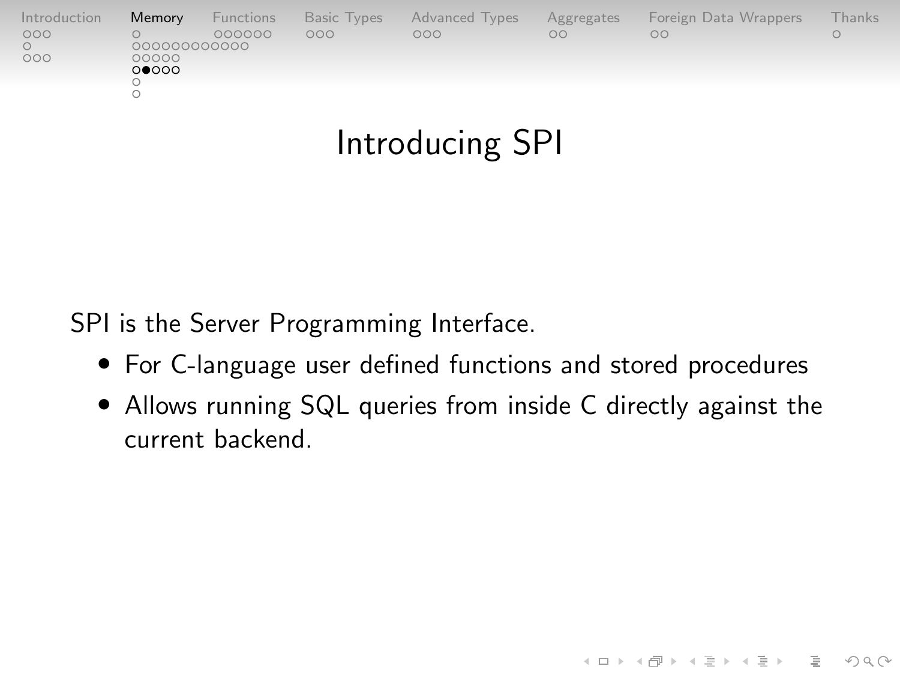| Introduction | Memory                        | Functions | Basic Types | Advanced Types | Aggregates | Foreign Data Wrappers | <b>Thanks</b> |
|--------------|-------------------------------|-----------|-------------|----------------|------------|-----------------------|---------------|
| 000<br>000   | 00000000000<br>00000<br>00000 | 000000    | 000         | 000            | 00         | OΟ                    |               |
|              |                               |           |             |                |            |                       |               |
|              |                               |           |             |                |            |                       |               |

# Introducing SPI

SPI is the Server Programming Interface.

- For C-language user defined functions and stored procedures
- Allows running SQL queries from inside C directly against the current backend.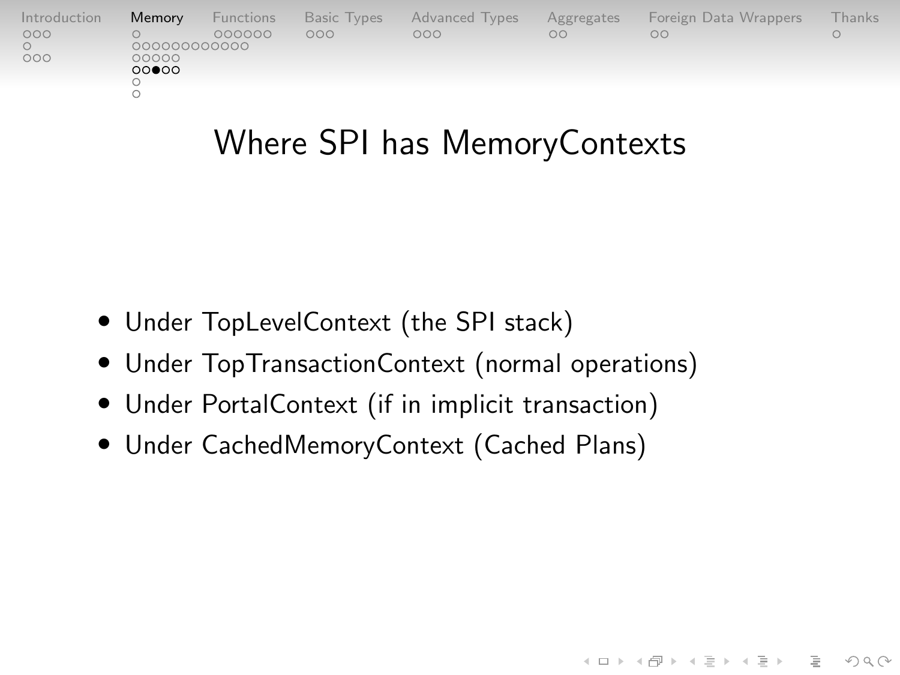| Introduction | <b>Memory</b>         | Functions | Basic Types | Advanced Types | Aggregates | Foreign Data Wrappers | Thanks |
|--------------|-----------------------|-----------|-------------|----------------|------------|-----------------------|--------|
| 000          |                       | 000000    | 000         | 000            | $\circ$    | oο                    |        |
| 000          | 000000000000<br>00000 |           |             |                |            |                       |        |
|              | 00000                 |           |             |                |            |                       |        |
|              |                       |           |             |                |            |                       |        |
|              |                       |           |             |                |            |                       |        |

### Where SPI has MemoryContexts

 $4 \Box + 4 \Box + 4 \Xi + 4 \Xi + 4 \Xi + 4 \Box$ 

- Under TopLevelContext (the SPI stack)
- Under TopTransactionContext (normal operations)
- Under PortalContext (if in implicit transaction)
- Under CachedMemoryContext (Cached Plans)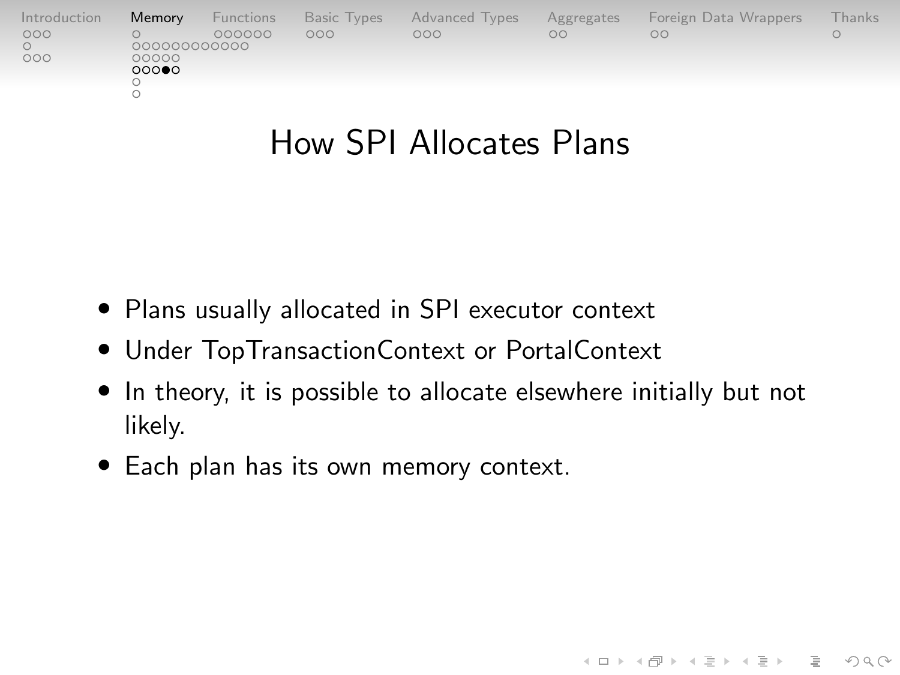| Introduction | Memory         | Functions |     | Basic Types Advanced Types | Aggregates | Foreign Data Wrappers | Thanks. |
|--------------|----------------|-----------|-----|----------------------------|------------|-----------------------|---------|
| 000          | 000000000000   | 000000    | 000 | 000                        | $\circ$    | OO                    |         |
| 000          | 00000<br>00000 |           |     |                            |            |                       |         |
|              |                |           |     |                            |            |                       |         |
|              |                |           |     |                            |            |                       |         |

### How SPI Allocates Plans

- Plans usually allocated in SPI executor context
- Under TopTransactionContext or PortalContext
- In theory, it is possible to allocate elsewhere initially but not likely.

K ロ ▶ K 리 ▶ K 코 ▶ K 코 ▶ │ 코 │ ◆ 9 Q (\*

• Each plan has its own memory context.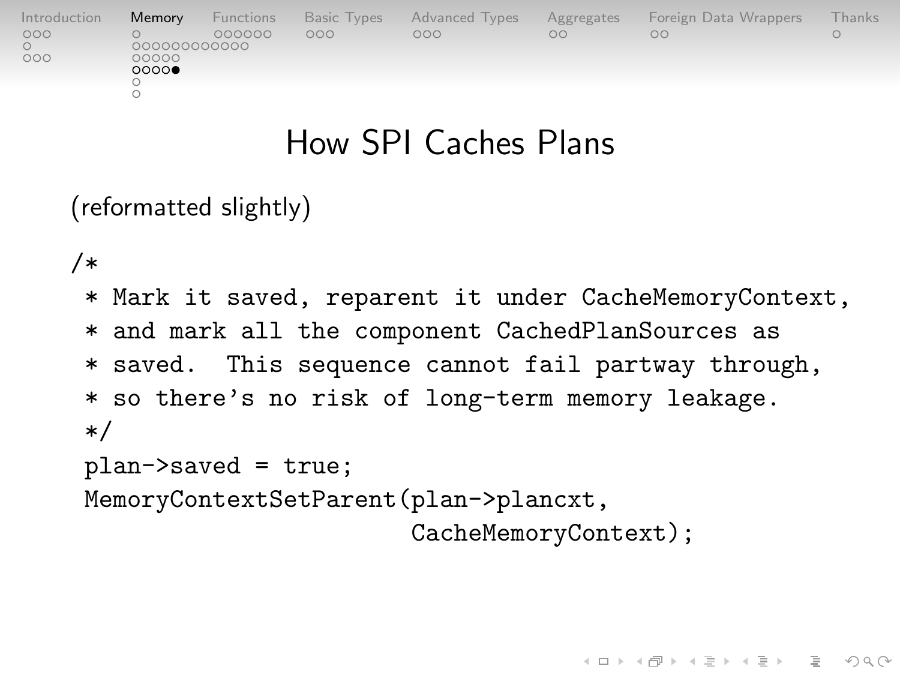| Introduction | Memory        | Functions |     | Basic Types Advanced Types | Aggregates | Foreign Data Wrappers | Thanks |
|--------------|---------------|-----------|-----|----------------------------|------------|-----------------------|--------|
| 000          | 000000000000  | 000000    | 000 | 000                        | nn         | OΟ                    |        |
| 000          | 00000<br>0000 |           |     |                            |            |                       |        |
|              |               |           |     |                            |            |                       |        |
|              |               |           |     |                            |            |                       |        |

### How SPI Caches Plans

(reformatted slightly)

/\*

\* Mark it saved, reparent it under CacheMemoryContext, \* and mark all the component CachedPlanSources as \* saved. This sequence cannot fail partway through, \* so there's no risk of long-term memory leakage. \*/ plan->saved = true;

MemoryContextSetParent(plan->plancxt,

CacheMemoryContext);

 $4 \Box + 4 \Box + 4 \Xi + 4 \Xi + 4 \Xi$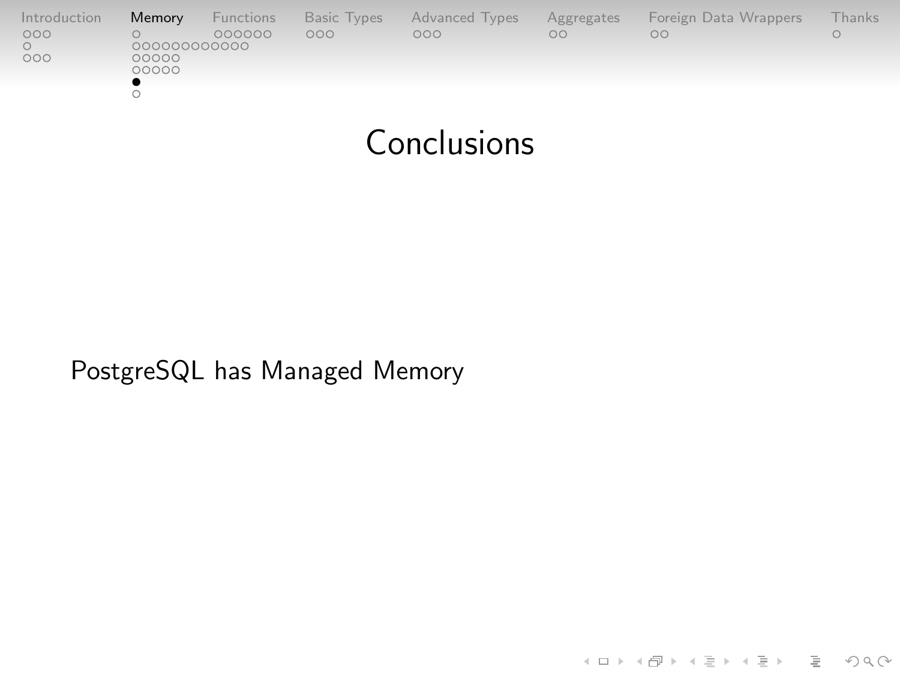| Introduction | Memory      | Functions | <b>Basic Types</b> | Advanced Types | Aggregates | Foreign Data Wrappers | <b>Thanks</b> |
|--------------|-------------|-----------|--------------------|----------------|------------|-----------------------|---------------|
| 000          | 00000000000 | 000000    | 000                | 000            | $\circ$    | OO                    |               |
| 000          | 00000       |           |                    |                |            |                       |               |
|              | 00000       |           |                    |                |            |                       |               |
|              |             |           |                    |                |            |                       |               |
|              |             |           |                    |                |            |                       |               |

### Conclusions

PostgreSQL has Managed Memory

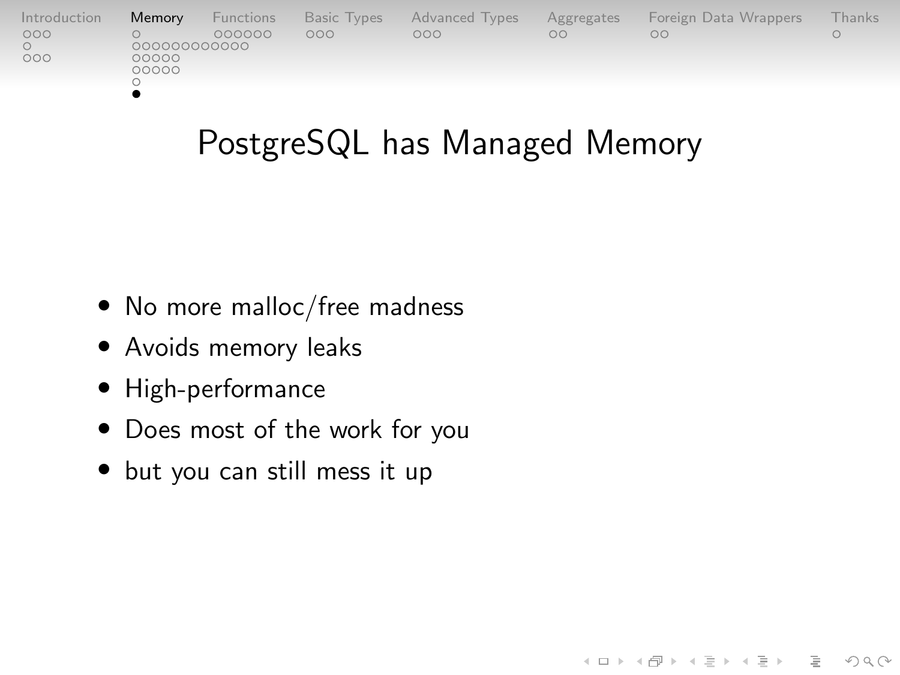| Introduction | Memory       | Functions |     | Basic Types Advanced Types | Aggregates | Foreign Data Wrappers | <b>Thanks</b> |
|--------------|--------------|-----------|-----|----------------------------|------------|-----------------------|---------------|
| 000          | 000000000000 | 000000    | 000 | 000                        | nn         | nn                    |               |
| 000          | 00000        |           |     |                            |            |                       |               |
|              | 00000        |           |     |                            |            |                       |               |
|              |              |           |     |                            |            |                       |               |

# PostgreSQL has Managed Memory

- No more malloc/free madness
- Avoids memory leaks
- High-performance
- Does most of the work for you
- but you can still mess it up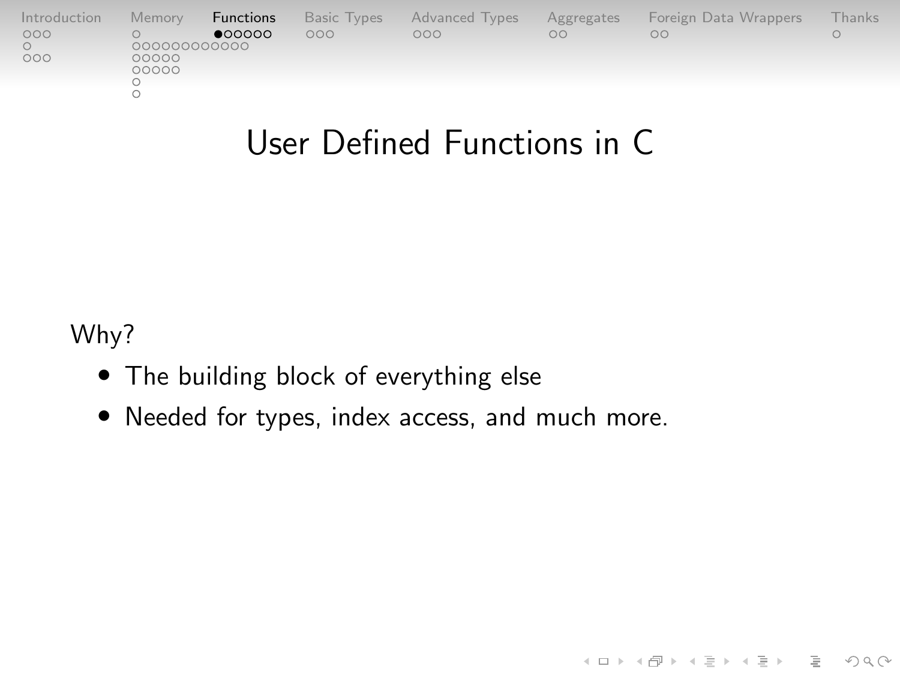<span id="page-33-0"></span>

| Introduction | Memory       | Functions | <b>Basic Types</b> | Advanced Types | Aggregates | Foreign Data Wrappers | Thanks |
|--------------|--------------|-----------|--------------------|----------------|------------|-----------------------|--------|
| 000          |              | •00000    | 000                | OOO            | $\circ$    | nc                    |        |
|              | 000000000000 |           |                    |                |            |                       |        |
| 000          | 00000        |           |                    |                |            |                       |        |
|              | 00000        |           |                    |                |            |                       |        |
|              |              |           |                    |                |            |                       |        |
|              |              |           |                    |                |            |                       |        |
|              |              |           |                    |                |            |                       |        |

# User Defined Functions in C

イロト (個)トイミト (ミ)トーミー りんぺ

Why?

- The building block of everything else
- Needed for types, index access, and much more.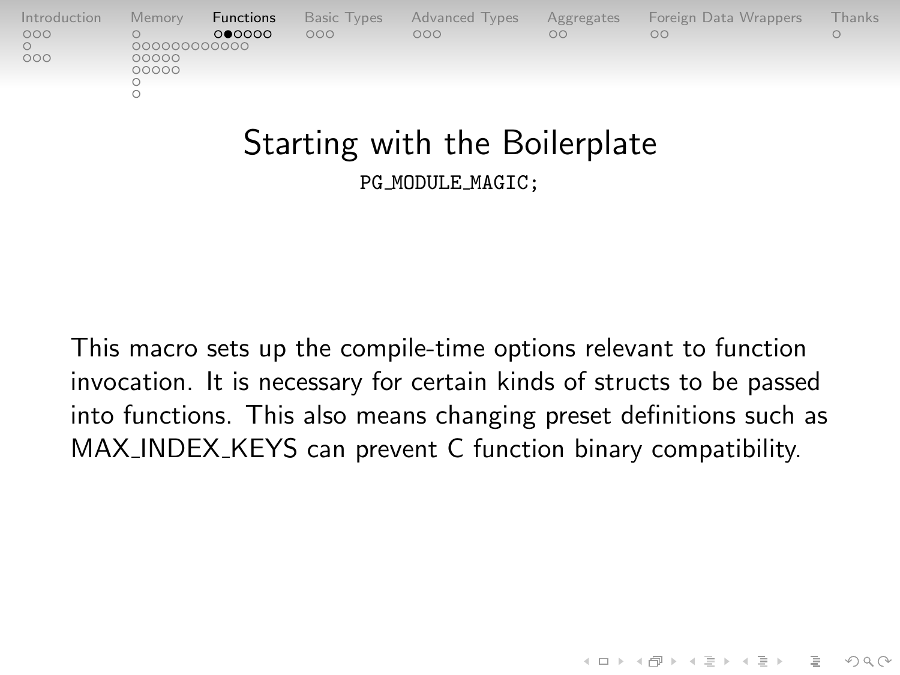| Introduction | Memory                | Functions | Basic Types | Advanced Types | Aggregates | Foreign Data Wrappers | <b>Thanks</b> |
|--------------|-----------------------|-----------|-------------|----------------|------------|-----------------------|---------------|
| 000          |                       | 000000    | 000         | OOO            | $\circ$    | OΩ                    |               |
| 000          | 000000000000<br>00000 |           |             |                |            |                       |               |
|              | 00000                 |           |             |                |            |                       |               |
|              |                       |           |             |                |            |                       |               |
|              |                       |           |             |                |            |                       |               |

#### Starting with the Boilerplate PG MODULE MAGIC;

This macro sets up the compile-time options relevant to function invocation. It is necessary for certain kinds of structs to be passed into functions. This also means changing preset definitions such as MAX\_INDEX\_KEYS can prevent C function binary compatibility.

 $4 \Box + 4 \Box + 4 \Xi + 4 \Xi + 4 \Xi$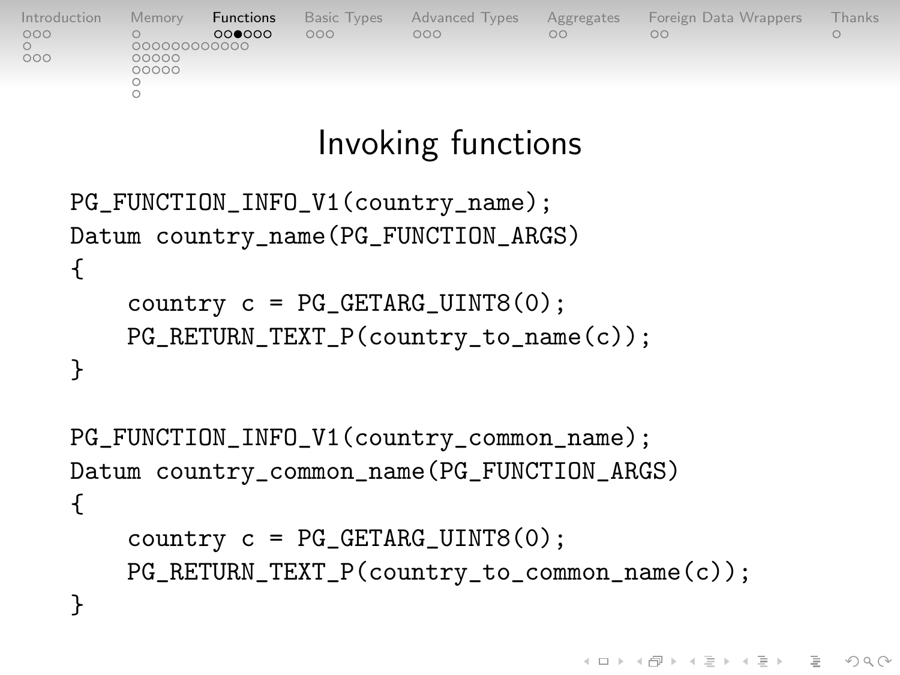| Introduction | Memory       | Functions | <b>Basic Types</b> | Advanced Types | Aggregates | Foreign Data Wrappers | Thanks |
|--------------|--------------|-----------|--------------------|----------------|------------|-----------------------|--------|
| 000          |              | 000000    | 000                | 000            | $\circ$    | ΟŌ                    |        |
|              | 000000000000 |           |                    |                |            |                       |        |
| 000          | 00000        |           |                    |                |            |                       |        |
|              | 00000        |           |                    |                |            |                       |        |
|              |              |           |                    |                |            |                       |        |
|              |              |           |                    |                |            |                       |        |
|              |              |           |                    |                |            |                       |        |

### Invoking functions

```
PG_FUNCTION_INFO_V1(country_name);
Datum country_name(PG_FUNCTION_ARGS)
{
    country c = PG_{CETARG_{UINT8}(0);
    PG_RETURN_TEXT_P(country_to_name(c));
}
```

```
PG_FUNCTION_INFO_V1(country_common_name);
Datum country_common_name(PG_FUNCTION_ARGS)
{
    country c = PG_{CETARG_{LUMTS}(0);PG_RETURN_TEXT_P(country_to_common_name(c));
}
```
 $4 \Box + 4 \Box + 4 \Xi + 4 \Xi + 4 \Xi + 4 \Box$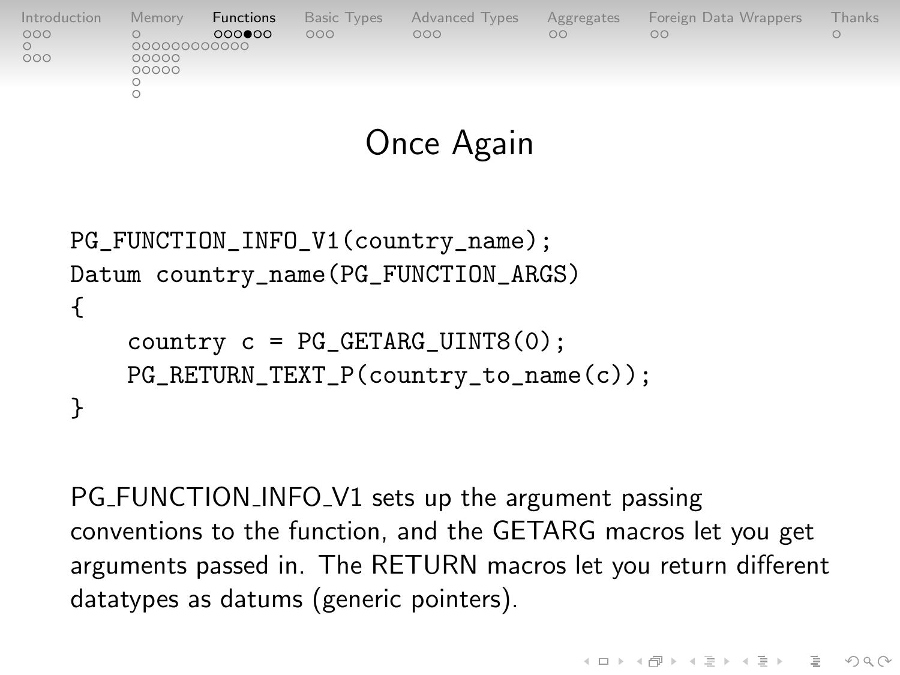| Introduction | Memory                | Functions | <b>Basic Types</b> | Advanced Types | Aggregates | Foreign Data Wrappers | Thanks |
|--------------|-----------------------|-----------|--------------------|----------------|------------|-----------------------|--------|
| 000          |                       | 000000    | 000                | 000            | OO         | OΟ                    |        |
| 000          | 000000000000<br>00000 |           |                    |                |            |                       |        |
|              | 00000                 |           |                    |                |            |                       |        |
|              |                       |           |                    |                |            |                       |        |
|              |                       |           |                    |                |            |                       |        |

#### Once Again

```
PG_FUNCTION_INFO_V1(country_name);
Datum country_name(PG_FUNCTION_ARGS)
{
    country c = PG_{CETARG_{LUMTS}(0);PG_RETURN_TEXT_P(country_to_name(c));
}
```
PG\_FUNCTION\_INFO\_V1 sets up the argument passing conventions to the function, and the GETARG macros let you get arguments passed in. The RETURN macros let you return different datatypes as datums (generic pointers).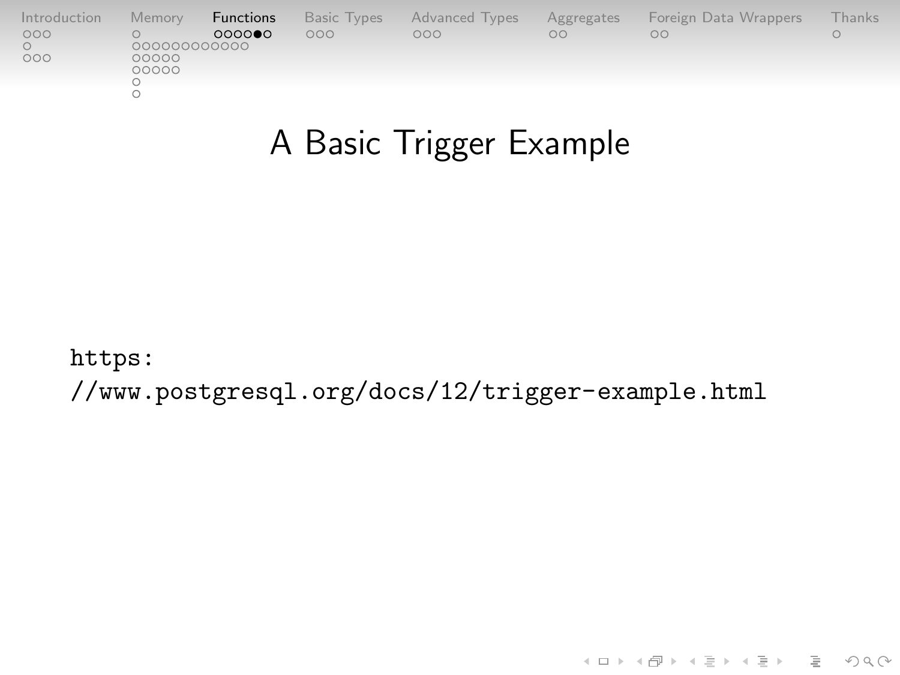| Introduction | Memory                | Functions | <b>Basic Types</b> | Advanced Types | Aggregates | Foreign Data Wrappers | Thanks |
|--------------|-----------------------|-----------|--------------------|----------------|------------|-----------------------|--------|
| 000          |                       | 0000      | 000                | 000            | $\circ$    | oο                    |        |
| 000          | 000000000000<br>00000 |           |                    |                |            |                       |        |
|              | 00000                 |           |                    |                |            |                       |        |
|              |                       |           |                    |                |            |                       |        |
|              |                       |           |                    |                |            |                       |        |

# A Basic Trigger Example

[https:](https://www.postgresql.org/docs/12/trigger-example.html)

[//www.postgresql.org/docs/12/trigger-example.html](https://www.postgresql.org/docs/12/trigger-example.html)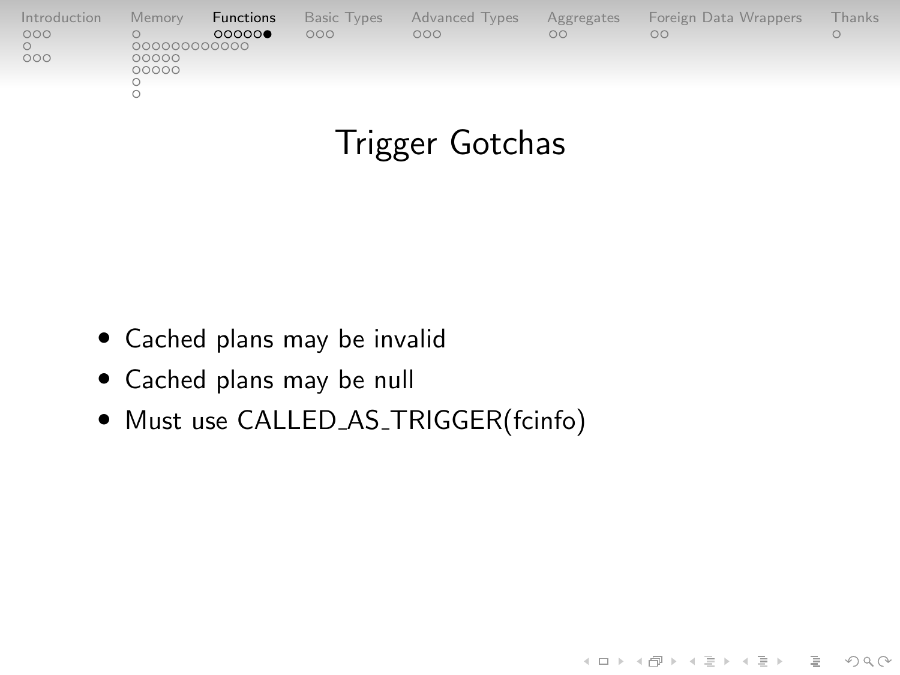| Introduction | Memory                | Functions | Basic Types | <b>Advanced Types</b> | Aggregates | Foreign Data Wrappers | <b>Thanks</b> |
|--------------|-----------------------|-----------|-------------|-----------------------|------------|-----------------------|---------------|
| 000<br>000   | 000000000000<br>00000 | 00000     | 000         | 000                   | $\circ$    | $\circ$               |               |
|              | 00000                 |           |             |                       |            |                       |               |
|              |                       |           |             |                       |            |                       |               |

### Trigger Gotchas

- Cached plans may be invalid
- Cached plans may be null
- Must use CALLED\_AS\_TRIGGER(fcinfo)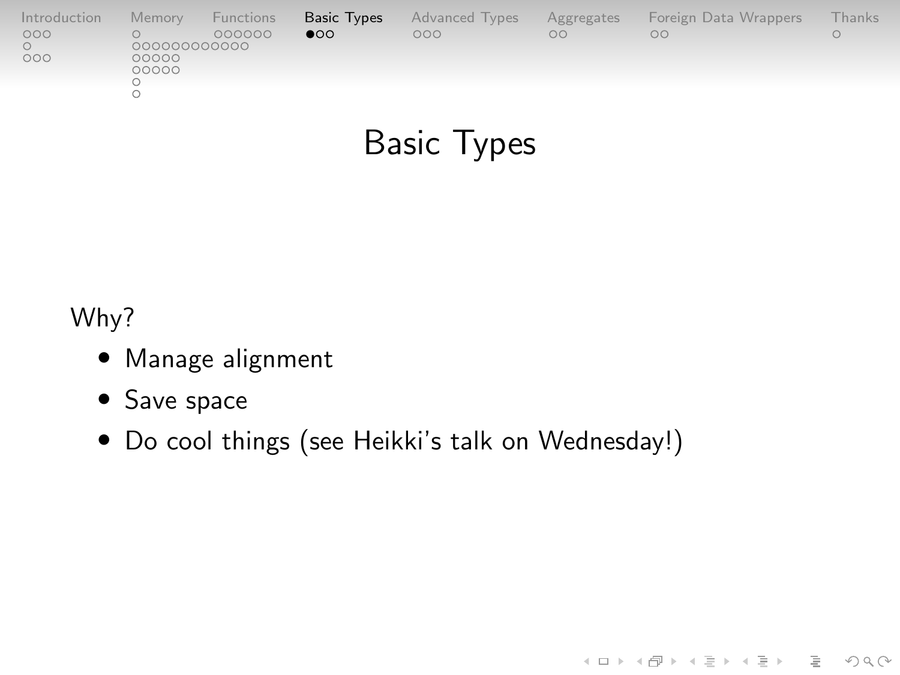<span id="page-39-0"></span>

| Introduction | Memory      | Functions | <b>Basic Types</b> | <b>Advanced Types</b> | Aggregates | Foreign Data Wrappers | -hanks |
|--------------|-------------|-----------|--------------------|-----------------------|------------|-----------------------|--------|
| 000          | 00000000000 | 000000    | $\bullet$          | 000                   | $\circ$    | $\circ$               |        |
| 000          | 00000       |           |                    |                       |            |                       |        |
|              | 00000       |           |                    |                       |            |                       |        |
|              |             |           |                    |                       |            |                       |        |
|              |             |           |                    |                       |            |                       |        |

# Basic Types

(ロ) (@) (혼) (혼) (혼) 2000

Why?

- Manage alignment
- Save space
- Do cool things (see Heikki's talk on Wednesday!)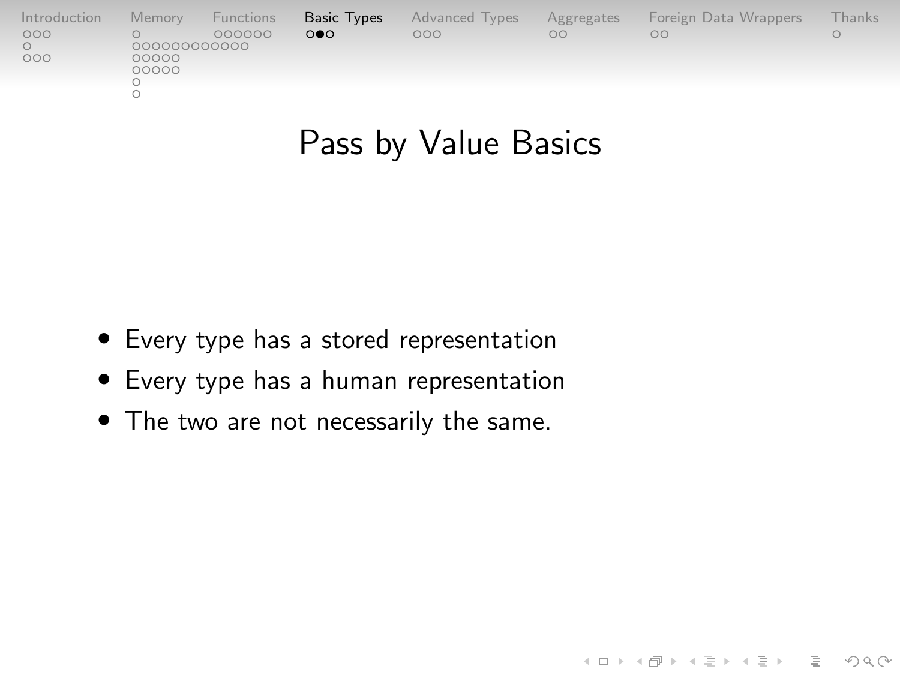| Introduction | Memory                | Functions | Basic Types | <b>Advanced Types</b> | Aggregates | Foreign Data Wrappers | Thanks |
|--------------|-----------------------|-----------|-------------|-----------------------|------------|-----------------------|--------|
| 000          |                       | 000000    | $\Omega$    | 000                   | $\circ$    | OС                    |        |
| 000          | 000000000000<br>00000 |           |             |                       |            |                       |        |
|              | 00000                 |           |             |                       |            |                       |        |
|              |                       |           |             |                       |            |                       |        |
|              |                       |           |             |                       |            |                       |        |

### Pass by Value Basics

イロト イタト イミト イミト ニヨー りんぺ

- Every type has a stored representation
- Every type has a human representation
- The two are not necessarily the same.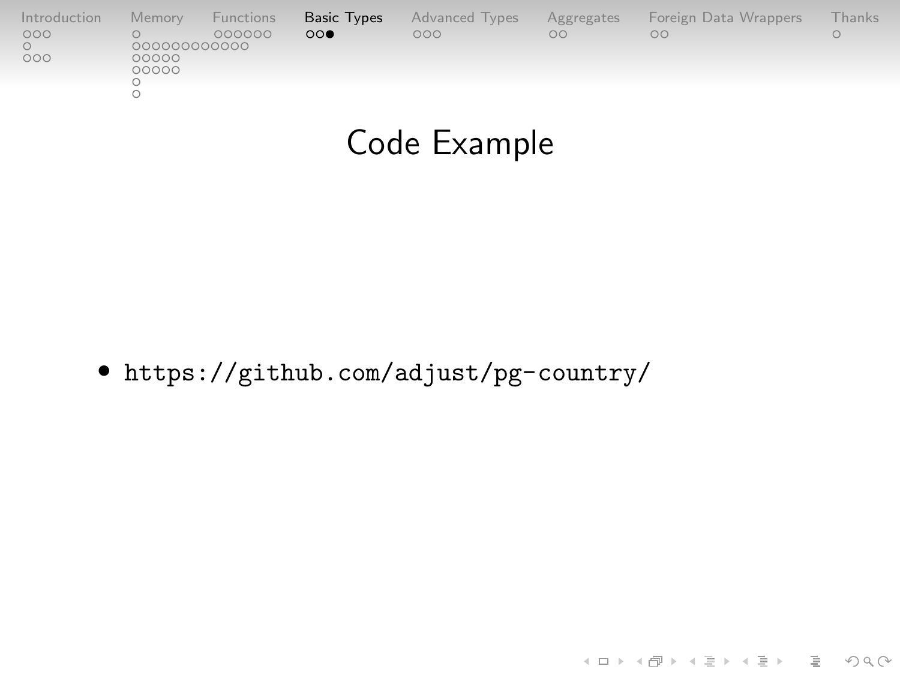| Introduction | Memory       | Functions | Basic Types           | Advanced Types | Aggregates | Foreign Data Wrappers | Thanks |
|--------------|--------------|-----------|-----------------------|----------------|------------|-----------------------|--------|
| 000          | 000000000000 | 000000    | $\circ \circ \bullet$ | 000            | $\circ$    | oο                    |        |
| 000          | 00000        |           |                       |                |            |                       |        |
|              | 00000        |           |                       |                |            |                       |        |
|              |              |           |                       |                |            |                       |        |
|              |              |           |                       |                |            |                       |        |

#### Code Example

K ロ ▶ K (日 ) K (ミ ) K (王 ) X (三 ) 2 (0 ) Q (0 )

• <https://github.com/adjust/pg-country/>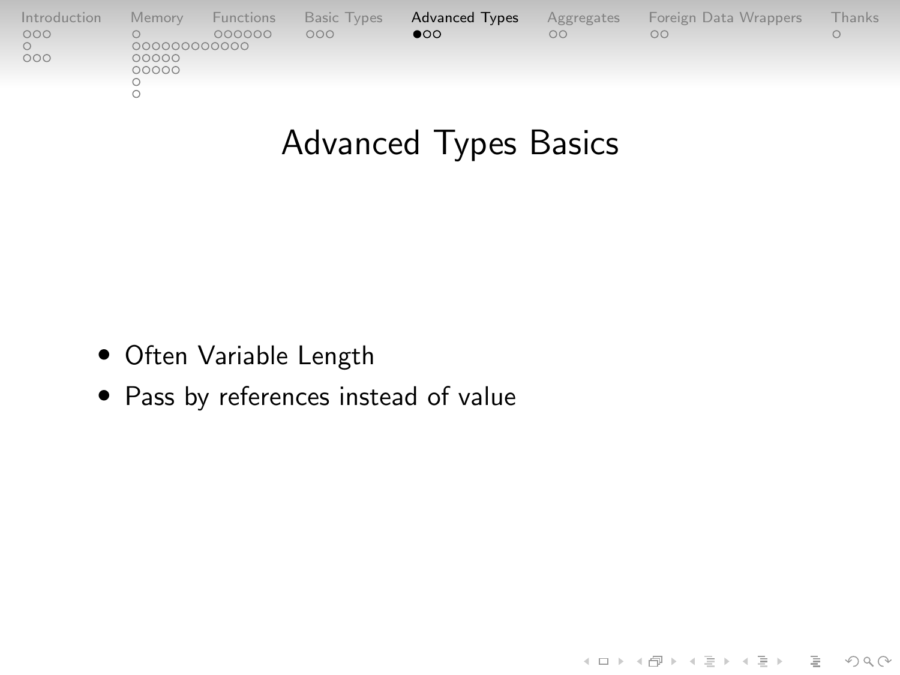<span id="page-42-0"></span>

| Introduction | Memory                | Functions | <b>Basic Types</b> | <b>Advanced Types</b> | Aggregates | Foreign Data Wrappers | Thanks |
|--------------|-----------------------|-----------|--------------------|-----------------------|------------|-----------------------|--------|
| 000          |                       | 000000    | 000                | $\bullet$             | $\circ$    | OΟ                    |        |
| 000          | 000000000000<br>00000 |           |                    |                       |            |                       |        |
|              | 00000                 |           |                    |                       |            |                       |        |
|              |                       |           |                    |                       |            |                       |        |
|              |                       |           |                    |                       |            |                       |        |

# Advanced Types Basics

K ロ → K 御 → K 至 → K 至 → 一至 → の Q Q →

- Often Variable Length
- Pass by references instead of value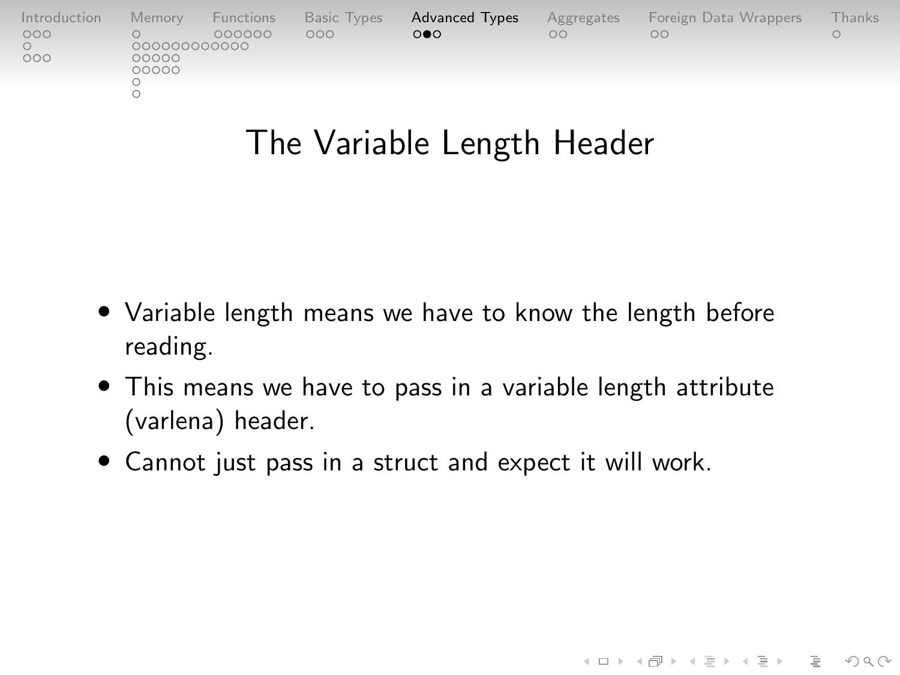| Introduction | Memory       | Functions | <b>Basic Types</b> | <b>Advanced Types</b> | Aggregates | Foreign Data Wrappers | Thanks |
|--------------|--------------|-----------|--------------------|-----------------------|------------|-----------------------|--------|
| 000          | 000000000000 | 000000    | 000                | $\circ \bullet \circ$ | OO         | OO                    |        |
| 000          | 00000        |           |                    |                       |            |                       |        |
|              | 00000        |           |                    |                       |            |                       |        |
|              |              |           |                    |                       |            |                       |        |
|              |              |           |                    |                       |            |                       |        |

### The Variable Length Header

- Variable length means we have to know the length before reading.
- This means we have to pass in a variable length attribute (varlena) header.

KELK@ K EXKEX E 1090

• Cannot just pass in a struct and expect it will work.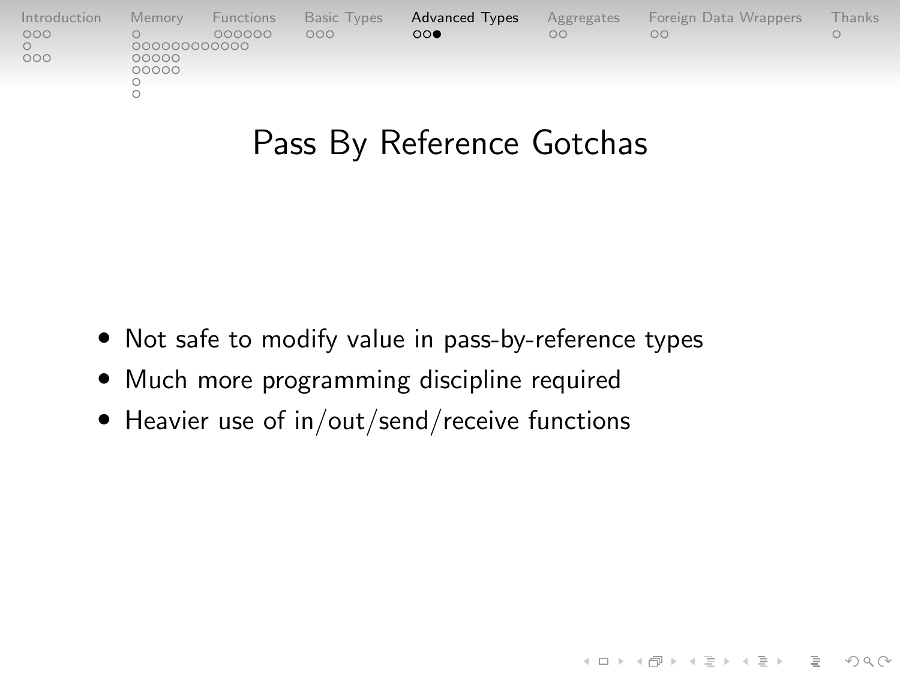| Introduction | Memory       | Functions | <b>Basic Types</b> | <b>Advanced Types</b> | Aggregates | Foreign Data Wrappers | Thanks. |
|--------------|--------------|-----------|--------------------|-----------------------|------------|-----------------------|---------|
| 000          | 000000000000 | 000000    | 000                | $\circ\circ\bullet$   | $\circ$    | OΩ                    |         |
| 000          | 00000        |           |                    |                       |            |                       |         |
|              | 00000        |           |                    |                       |            |                       |         |
|              |              |           |                    |                       |            |                       |         |
|              |              |           |                    |                       |            |                       |         |

### Pass By Reference Gotchas

(ロ) (@) (혼) (혼) (혼) 2000

- Not safe to modify value in pass-by-reference types
- Much more programming discipline required
- Heavier use of in/out/send/receive functions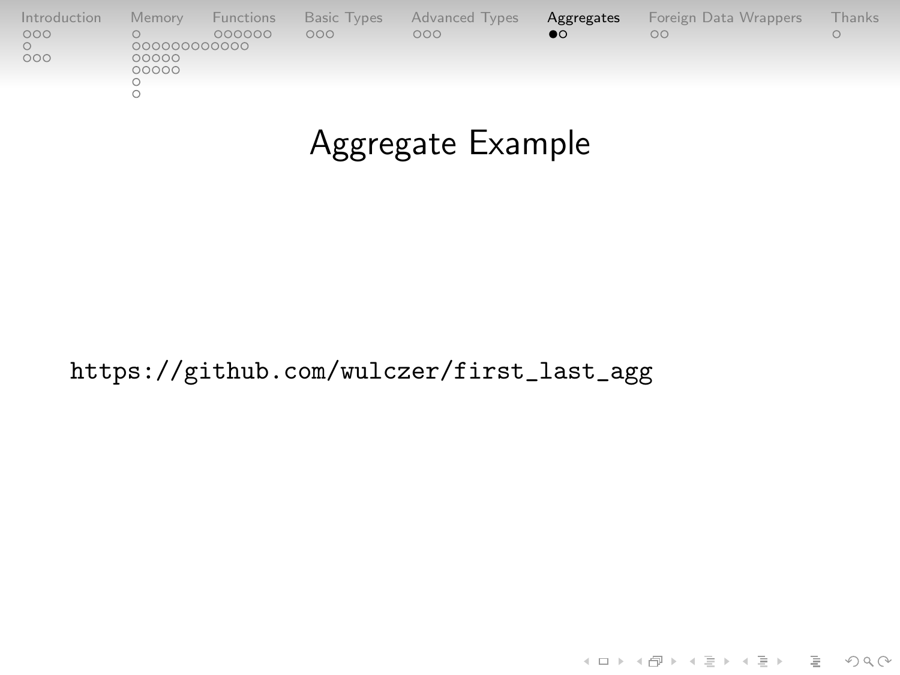<span id="page-45-0"></span>

| Introduction | Memory         | Functions | Basic Types | Advanced Types | Aggregates | Foreign Data Wrappers | Thanks |
|--------------|----------------|-----------|-------------|----------------|------------|-----------------------|--------|
| 000          |                | 000000    | 000         | 000            | $\bullet$  | OC                    |        |
|              | 000000000000   |           |             |                |            |                       |        |
| 000          | 00000<br>00000 |           |             |                |            |                       |        |
|              |                |           |             |                |            |                       |        |
|              |                |           |             |                |            |                       |        |
|              |                |           |             |                |            |                       |        |

# Aggregate Example

[https://github.com/wulczer/first\\_last\\_agg](https://github.com/wulczer/first_last_agg)

(ロ) (@) (혼) (혼) (혼) 2000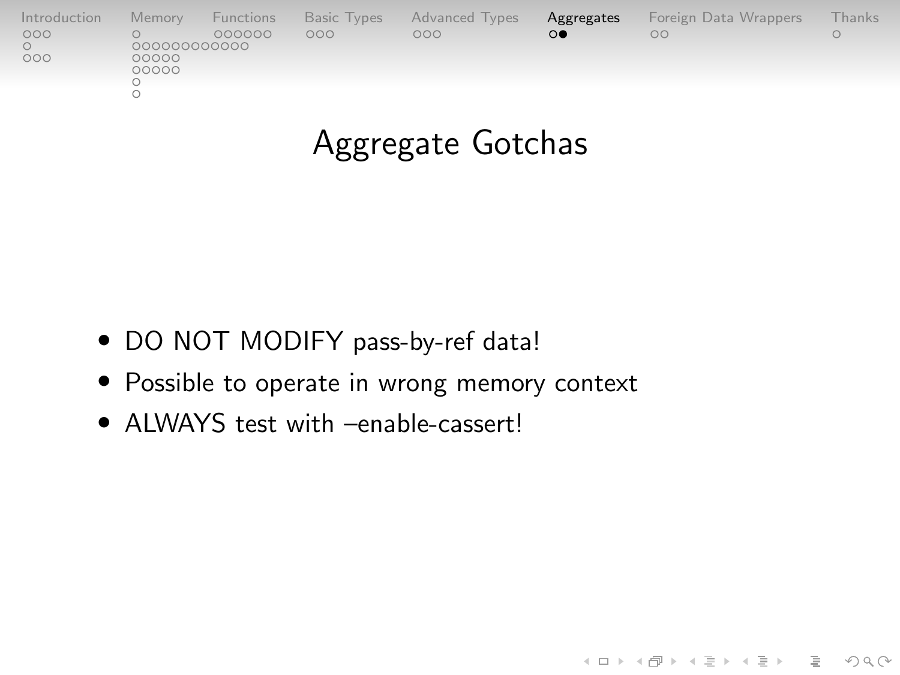| Introduction | Memory       | Functions | <b>Basic Types</b> | Advanced Types | Aggregates | Foreign Data Wrappers | Thanks |
|--------------|--------------|-----------|--------------------|----------------|------------|-----------------------|--------|
| 000          | 000000000000 | 000000    | 000                | 000            | 0●         | OΩ                    |        |
| 000          | 00000        |           |                    |                |            |                       |        |
|              | 00000        |           |                    |                |            |                       |        |
|              |              |           |                    |                |            |                       |        |
|              |              |           |                    |                |            |                       |        |

# Aggregate Gotchas

- DO NOT MODIFY pass-by-ref data!
- Possible to operate in wrong memory context
- ALWAYS test with –enable-cassert!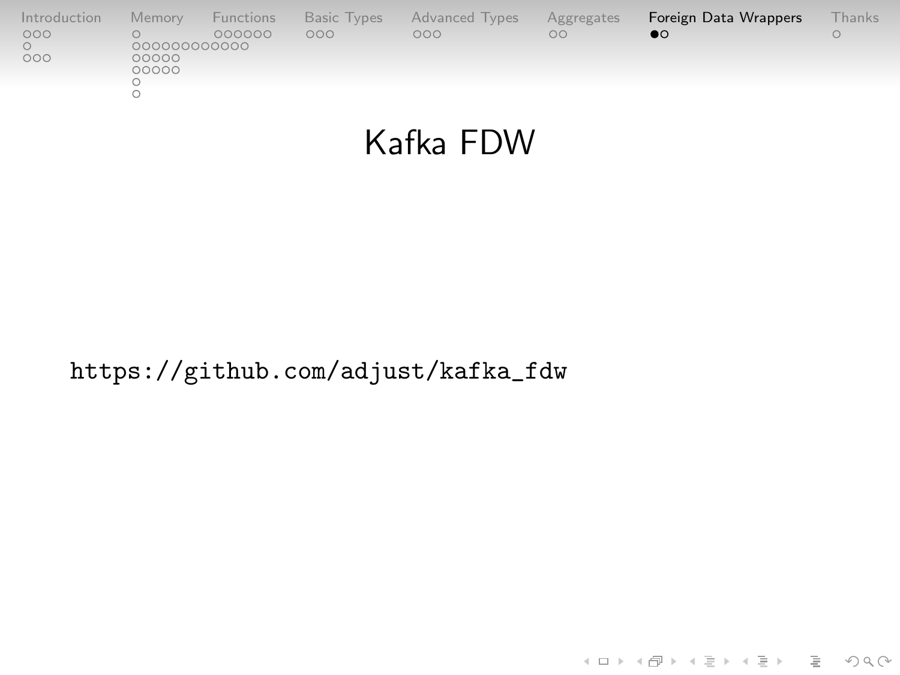<span id="page-47-0"></span>

| Introduction | Memory                | Functions | <b>Basic Types</b> | Advanced Types | Aggregates | Foreign Data Wrappers | <b>Thanks</b> |
|--------------|-----------------------|-----------|--------------------|----------------|------------|-----------------------|---------------|
| 000          |                       | 000000    | 000                | 000            | $\circ$    | $\bullet$             |               |
| 000          | 000000000000<br>00000 |           |                    |                |            |                       |               |
|              | 00000                 |           |                    |                |            |                       |               |
|              |                       |           |                    |                |            |                       |               |
|              |                       |           |                    |                |            |                       |               |

# Kafka FDW

[https://github.com/adjust/kafka\\_fdw](https://github.com/adjust/kafka_fdw)

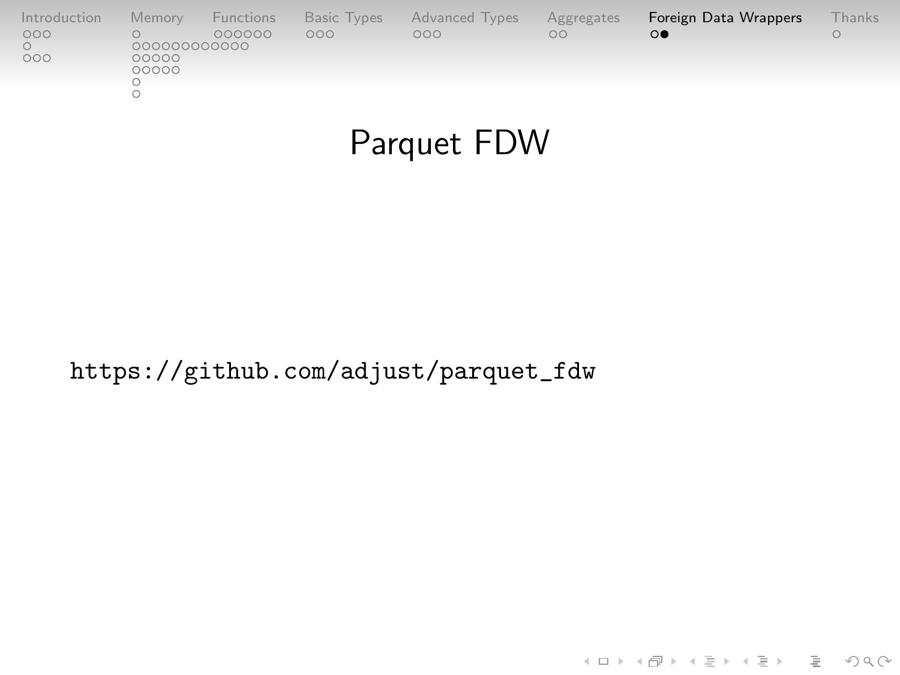| Introduction | Memory | Functions    | <b>Basic Types</b> | Advanced Types | Aggregates | Foreign Data Wrappers | <b>Thanks</b> |  |  |  |
|--------------|--------|--------------|--------------------|----------------|------------|-----------------------|---------------|--|--|--|
| 000          |        | 000000       | 000                | 000            | $\circ$    | $\circ$               |               |  |  |  |
| 000          | 00000  | 000000000000 |                    |                |            |                       |               |  |  |  |
|              | 00000  |              |                    |                |            |                       |               |  |  |  |
|              |        |              |                    |                |            |                       |               |  |  |  |
|              |        |              |                    |                |            |                       |               |  |  |  |

### Parquet FDW

KELK@ K EXKEX E 1090

[https://github.com/adjust/parquet\\_fdw](https://github.com/adjust/parquet_fdw)